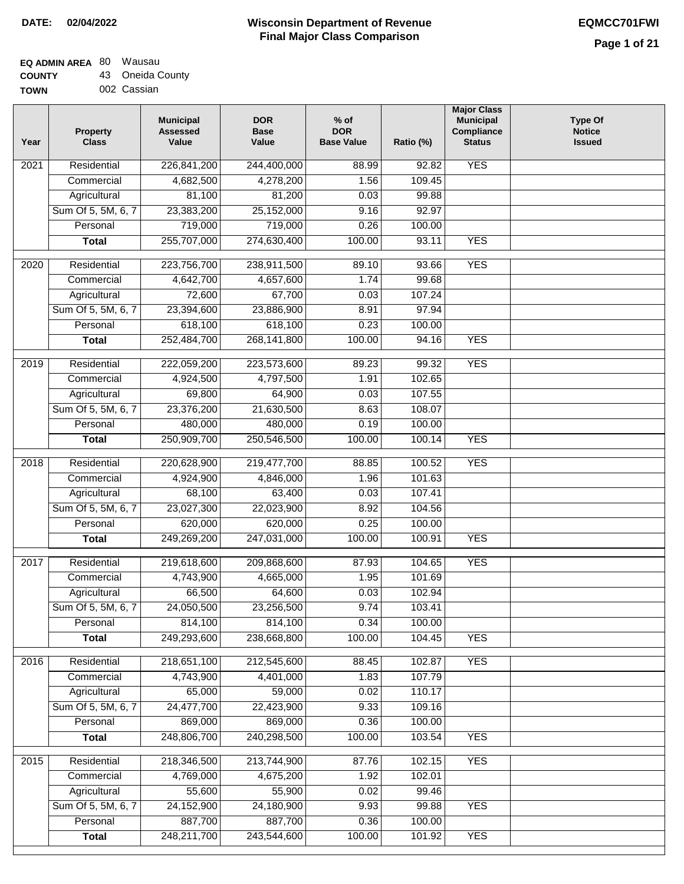## **EQ ADMIN AREA** 80 Wausau

**COUNTY TOWN** 43 Oneida County 002 Cassian

| Year              | <b>Property</b><br><b>Class</b> | <b>Municipal</b><br><b>Assessed</b><br>Value | <b>DOR</b><br><b>Base</b><br>Value | $%$ of<br><b>DOR</b><br><b>Base Value</b> | Ratio (%) | <b>Major Class</b><br><b>Municipal</b><br><b>Compliance</b><br><b>Status</b> | <b>Type Of</b><br><b>Notice</b><br><b>Issued</b> |
|-------------------|---------------------------------|----------------------------------------------|------------------------------------|-------------------------------------------|-----------|------------------------------------------------------------------------------|--------------------------------------------------|
| 2021              | Residential                     | 226,841,200                                  | 244,400,000                        | 88.99                                     | 92.82     | <b>YES</b>                                                                   |                                                  |
|                   | Commercial                      | 4,682,500                                    | 4,278,200                          | 1.56                                      | 109.45    |                                                                              |                                                  |
|                   | Agricultural                    | 81,100                                       | 81,200                             | 0.03                                      | 99.88     |                                                                              |                                                  |
|                   | Sum Of 5, 5M, 6, 7              | 23,383,200                                   | 25,152,000                         | 9.16                                      | 92.97     |                                                                              |                                                  |
|                   | Personal                        | 719,000                                      | 719,000                            | 0.26                                      | 100.00    |                                                                              |                                                  |
|                   | <b>Total</b>                    | 255,707,000                                  | 274,630,400                        | 100.00                                    | 93.11     | <b>YES</b>                                                                   |                                                  |
| 2020              | Residential                     | 223,756,700                                  | 238,911,500                        | 89.10                                     | 93.66     | <b>YES</b>                                                                   |                                                  |
|                   | Commercial                      | 4,642,700                                    | 4,657,600                          | 1.74                                      | 99.68     |                                                                              |                                                  |
|                   | Agricultural                    | 72,600                                       | 67,700                             | 0.03                                      | 107.24    |                                                                              |                                                  |
|                   | Sum Of 5, 5M, 6, 7              | 23,394,600                                   | 23,886,900                         | 8.91                                      | 97.94     |                                                                              |                                                  |
|                   | Personal                        | 618,100                                      | 618,100                            | 0.23                                      | 100.00    |                                                                              |                                                  |
|                   | <b>Total</b>                    | 252,484,700                                  | 268, 141, 800                      | 100.00                                    | 94.16     | <b>YES</b>                                                                   |                                                  |
|                   |                                 |                                              |                                    |                                           |           |                                                                              |                                                  |
| 2019              | Residential                     | 222,059,200                                  | 223,573,600                        | 89.23                                     | 99.32     | <b>YES</b>                                                                   |                                                  |
|                   | Commercial                      | 4,924,500                                    | 4,797,500                          | 1.91                                      | 102.65    |                                                                              |                                                  |
|                   | Agricultural                    | 69,800                                       | 64,900                             | 0.03                                      | 107.55    |                                                                              |                                                  |
|                   | Sum Of 5, 5M, 6, 7              | 23,376,200                                   | 21,630,500                         | 8.63                                      | 108.07    |                                                                              |                                                  |
|                   | Personal                        | 480,000                                      | 480,000                            | 0.19                                      | 100.00    |                                                                              |                                                  |
|                   | <b>Total</b>                    | 250,909,700                                  | 250,546,500                        | 100.00                                    | 100.14    | <b>YES</b>                                                                   |                                                  |
| $\overline{2018}$ | Residential                     | 220,628,900                                  | 219,477,700                        | 88.85                                     | 100.52    | <b>YES</b>                                                                   |                                                  |
|                   | Commercial                      | 4,924,900                                    | 4,846,000                          | 1.96                                      | 101.63    |                                                                              |                                                  |
|                   | Agricultural                    | 68,100                                       | 63,400                             | 0.03                                      | 107.41    |                                                                              |                                                  |
|                   | Sum Of 5, 5M, 6, 7              | 23,027,300                                   | 22,023,900                         | 8.92                                      | 104.56    |                                                                              |                                                  |
|                   | Personal                        | 620,000                                      | 620,000                            | 0.25                                      | 100.00    |                                                                              |                                                  |
|                   | <b>Total</b>                    | 249,269,200                                  | 247,031,000                        | 100.00                                    | 100.91    | <b>YES</b>                                                                   |                                                  |
|                   |                                 |                                              |                                    |                                           |           |                                                                              |                                                  |
| 2017              | Residential                     | 219,618,600                                  | 209,868,600                        | 87.93                                     | 104.65    | <b>YES</b>                                                                   |                                                  |
|                   | Commercial                      | 4,743,900                                    | 4,665,000                          | 1.95                                      | 101.69    |                                                                              |                                                  |
|                   | Agricultural                    | 66,500                                       | 64,600                             | 0.03                                      | 102.94    |                                                                              |                                                  |
|                   | Sum Of 5, 5M, 6, 7              | 24,050,500                                   | 23,256,500                         | 9.74                                      | 103.41    |                                                                              |                                                  |
|                   | Personal                        | 814,100                                      | 814,100                            | 0.34                                      | 100.00    |                                                                              |                                                  |
|                   | <b>Total</b>                    | 249,293,600                                  | 238,668,800                        | 100.00                                    | 104.45    | <b>YES</b>                                                                   |                                                  |
| 2016              | Residential                     | 218,651,100                                  | 212,545,600                        | 88.45                                     | 102.87    | <b>YES</b>                                                                   |                                                  |
|                   | Commercial                      | 4,743,900                                    | 4,401,000                          | 1.83                                      | 107.79    |                                                                              |                                                  |
|                   | Agricultural                    | 65,000                                       | 59,000                             | 0.02                                      | 110.17    |                                                                              |                                                  |
|                   | Sum Of 5, 5M, 6, 7              | 24,477,700                                   | 22,423,900                         | 9.33                                      | 109.16    |                                                                              |                                                  |
|                   | Personal                        | 869,000                                      | 869,000                            | 0.36                                      | 100.00    |                                                                              |                                                  |
|                   | <b>Total</b>                    | 248,806,700                                  | 240,298,500                        | 100.00                                    | 103.54    | <b>YES</b>                                                                   |                                                  |
| 2015              | Residential                     | 218,346,500                                  | 213,744,900                        | 87.76                                     | 102.15    | <b>YES</b>                                                                   |                                                  |
|                   | Commercial                      | 4,769,000                                    | 4,675,200                          | 1.92                                      | 102.01    |                                                                              |                                                  |
|                   | Agricultural                    | 55,600                                       | 55,900                             | 0.02                                      | 99.46     |                                                                              |                                                  |
|                   | Sum Of 5, 5M, 6, 7              | 24,152,900                                   | 24,180,900                         | 9.93                                      | 99.88     | <b>YES</b>                                                                   |                                                  |
|                   | Personal                        | 887,700                                      | 887,700                            | 0.36                                      | 100.00    |                                                                              |                                                  |
|                   | <b>Total</b>                    | 248,211,700                                  | 243,544,600                        | 100.00                                    | 101.92    | <b>YES</b>                                                                   |                                                  |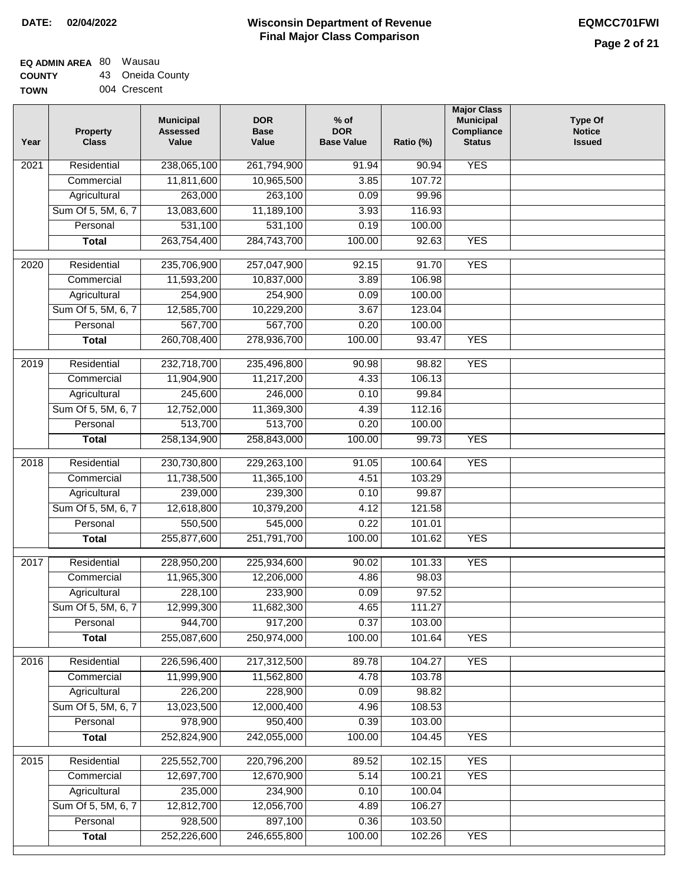# **EQ ADMIN AREA** 80 Wausau

**COUNTY TOWN** 43 Oneida County 004 Crescent

| Year              | <b>Property</b><br><b>Class</b> | <b>Municipal</b><br><b>Assessed</b><br>Value | <b>DOR</b><br><b>Base</b><br>Value | % of<br><b>DOR</b><br><b>Base Value</b> | Ratio (%) | <b>Major Class</b><br><b>Municipal</b><br>Compliance<br><b>Status</b> | <b>Type Of</b><br><b>Notice</b><br><b>Issued</b> |
|-------------------|---------------------------------|----------------------------------------------|------------------------------------|-----------------------------------------|-----------|-----------------------------------------------------------------------|--------------------------------------------------|
| 2021              | Residential                     | 238,065,100                                  | 261,794,900                        | 91.94                                   | 90.94     | <b>YES</b>                                                            |                                                  |
|                   | Commercial                      | 11,811,600                                   | 10,965,500                         | 3.85                                    | 107.72    |                                                                       |                                                  |
|                   | Agricultural                    | 263,000                                      | 263,100                            | 0.09                                    | 99.96     |                                                                       |                                                  |
|                   | Sum Of 5, 5M, 6, 7              | 13,083,600                                   | 11,189,100                         | 3.93                                    | 116.93    |                                                                       |                                                  |
|                   | Personal                        | 531,100                                      | 531,100                            | 0.19                                    | 100.00    |                                                                       |                                                  |
|                   | <b>Total</b>                    | 263,754,400                                  | 284,743,700                        | 100.00                                  | 92.63     | <b>YES</b>                                                            |                                                  |
| 2020              | Residential                     | 235,706,900                                  | 257,047,900                        | 92.15                                   | 91.70     | <b>YES</b>                                                            |                                                  |
|                   | Commercial                      | 11,593,200                                   | 10,837,000                         | 3.89                                    | 106.98    |                                                                       |                                                  |
|                   | Agricultural                    | 254,900                                      | 254,900                            | 0.09                                    | 100.00    |                                                                       |                                                  |
|                   | Sum Of 5, 5M, 6, 7              | 12,585,700                                   | 10,229,200                         | 3.67                                    | 123.04    |                                                                       |                                                  |
|                   | Personal                        | 567,700                                      | 567,700                            | 0.20                                    | 100.00    |                                                                       |                                                  |
|                   | <b>Total</b>                    | 260,708,400                                  | 278,936,700                        | 100.00                                  | 93.47     | <b>YES</b>                                                            |                                                  |
| 2019              | Residential                     | 232,718,700                                  | 235,496,800                        | 90.98                                   | 98.82     | <b>YES</b>                                                            |                                                  |
|                   | Commercial                      | 11,904,900                                   | 11,217,200                         | 4.33                                    | 106.13    |                                                                       |                                                  |
|                   | Agricultural                    | 245,600                                      | 246,000                            | 0.10                                    | 99.84     |                                                                       |                                                  |
|                   | Sum Of 5, 5M, 6, 7              | 12,752,000                                   | 11,369,300                         | 4.39                                    | 112.16    |                                                                       |                                                  |
|                   | Personal                        | 513,700                                      | 513,700                            | 0.20                                    | 100.00    |                                                                       |                                                  |
|                   | <b>Total</b>                    | 258,134,900                                  | 258,843,000                        | 100.00                                  | 99.73     | <b>YES</b>                                                            |                                                  |
| $\overline{2018}$ | Residential                     | 230,730,800                                  | 229,263,100                        | 91.05                                   | 100.64    | <b>YES</b>                                                            |                                                  |
|                   | Commercial                      | 11,738,500                                   | 11,365,100                         | 4.51                                    | 103.29    |                                                                       |                                                  |
|                   | Agricultural                    | 239,000                                      | 239,300                            | 0.10                                    | 99.87     |                                                                       |                                                  |
|                   | Sum Of 5, 5M, 6, 7              | 12,618,800                                   | 10,379,200                         | 4.12                                    | 121.58    |                                                                       |                                                  |
|                   | Personal                        | 550,500                                      | 545,000                            | 0.22                                    | 101.01    |                                                                       |                                                  |
|                   | <b>Total</b>                    | 255,877,600                                  | 251,791,700                        | 100.00                                  | 101.62    | <b>YES</b>                                                            |                                                  |
|                   |                                 |                                              |                                    |                                         |           |                                                                       |                                                  |
| 2017              | Residential                     | 228,950,200                                  | 225,934,600                        | 90.02                                   | 101.33    | <b>YES</b>                                                            |                                                  |
|                   | Commercial                      | 11,965,300                                   | 12,206,000                         | 4.86                                    | 98.03     |                                                                       |                                                  |
|                   | Agricultural                    | 228,100                                      | 233,900                            | 0.09                                    | 97.52     |                                                                       |                                                  |
|                   | Sum Of 5, 5M, 6, 7              | 12,999,300                                   | 11,682,300                         | 4.65                                    | 111.27    |                                                                       |                                                  |
|                   | Personal                        | 944,700                                      | 917,200                            | 0.37                                    | 103.00    |                                                                       |                                                  |
|                   | <b>Total</b>                    | 255,087,600                                  | 250,974,000                        | 100.00                                  | 101.64    | <b>YES</b>                                                            |                                                  |
| 2016              | Residential                     | 226,596,400                                  | 217,312,500                        | 89.78                                   | 104.27    | <b>YES</b>                                                            |                                                  |
|                   | Commercial                      | 11,999,900                                   | 11,562,800                         | 4.78                                    | 103.78    |                                                                       |                                                  |
|                   | Agricultural                    | 226,200                                      | 228,900                            | 0.09                                    | 98.82     |                                                                       |                                                  |
|                   | Sum Of 5, 5M, 6, 7              | 13,023,500                                   | 12,000,400                         | 4.96                                    | 108.53    |                                                                       |                                                  |
|                   | Personal                        | 978,900                                      | 950,400                            | 0.39                                    | 103.00    |                                                                       |                                                  |
|                   | <b>Total</b>                    | 252,824,900                                  | 242,055,000                        | 100.00                                  | 104.45    | <b>YES</b>                                                            |                                                  |
| $\overline{2015}$ | Residential                     | 225,552,700                                  | 220,796,200                        | 89.52                                   | 102.15    | <b>YES</b>                                                            |                                                  |
|                   | Commercial                      | 12,697,700                                   | 12,670,900                         | 5.14                                    | 100.21    | <b>YES</b>                                                            |                                                  |
|                   | Agricultural                    | 235,000                                      | 234,900                            | 0.10                                    | 100.04    |                                                                       |                                                  |
|                   | Sum Of 5, 5M, 6, 7              | 12,812,700                                   | 12,056,700                         | 4.89                                    | 106.27    |                                                                       |                                                  |
|                   | Personal                        | 928,500                                      | 897,100                            | 0.36                                    | 103.50    |                                                                       |                                                  |
|                   | <b>Total</b>                    | 252,226,600                                  | 246,655,800                        | 100.00                                  | 102.26    | <b>YES</b>                                                            |                                                  |
|                   |                                 |                                              |                                    |                                         |           |                                                                       |                                                  |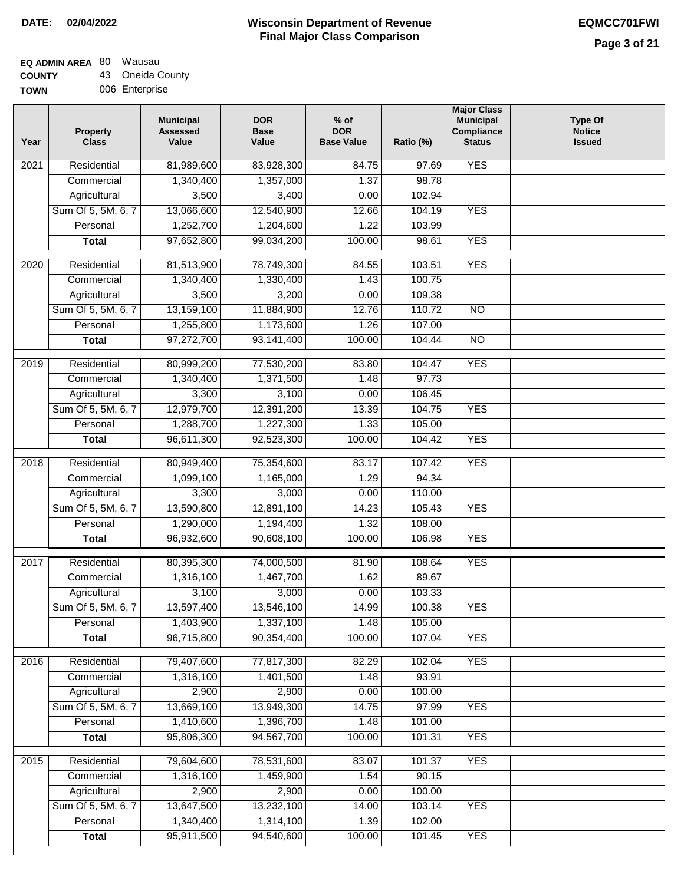## **Wisconsin Department of Revenue Final Major Class Comparison DATE: 02/04/2022 EQMCC701FWI**

┑

# **EQ ADMIN AREA** 80 Wausau

**COUNTY** 43 Oneida County

| <b>COUNTY</b> | 45 Ullelud Cou |
|---------------|----------------|
| <b>TOWN</b>   | 006 Enterprise |

| Year | <b>Property</b><br><b>Class</b> | <b>Municipal</b><br><b>Assessed</b><br>Value | <b>DOR</b><br><b>Base</b><br>Value | $%$ of<br><b>DOR</b><br><b>Base Value</b> | Ratio (%) | <b>Major Class</b><br><b>Municipal</b><br>Compliance<br><b>Status</b> | <b>Type Of</b><br><b>Notice</b><br><b>Issued</b> |
|------|---------------------------------|----------------------------------------------|------------------------------------|-------------------------------------------|-----------|-----------------------------------------------------------------------|--------------------------------------------------|
| 2021 | Residential                     | 81,989,600                                   | 83,928,300                         | 84.75                                     | 97.69     | <b>YES</b>                                                            |                                                  |
|      | Commercial                      | 1,340,400                                    | 1,357,000                          | 1.37                                      | 98.78     |                                                                       |                                                  |
|      | Agricultural                    | 3,500                                        | 3,400                              | 0.00                                      | 102.94    |                                                                       |                                                  |
|      | Sum Of 5, 5M, 6, 7              | 13,066,600                                   | 12,540,900                         | 12.66                                     | 104.19    | <b>YES</b>                                                            |                                                  |
|      | Personal                        | 1,252,700                                    | 1,204,600                          | 1.22                                      | 103.99    |                                                                       |                                                  |
|      | <b>Total</b>                    | 97,652,800                                   | 99,034,200                         | 100.00                                    | 98.61     | <b>YES</b>                                                            |                                                  |
| 2020 | Residential                     | 81,513,900                                   | 78,749,300                         | 84.55                                     | 103.51    | <b>YES</b>                                                            |                                                  |
|      | Commercial                      | 1,340,400                                    | 1,330,400                          | 1.43                                      | 100.75    |                                                                       |                                                  |
|      | Agricultural                    | 3,500                                        | 3,200                              | 0.00                                      | 109.38    |                                                                       |                                                  |
|      | Sum Of 5, 5M, 6, 7              | 13,159,100                                   | 11,884,900                         | 12.76                                     | 110.72    | $\overline{NO}$                                                       |                                                  |
|      | Personal                        | 1,255,800                                    | 1,173,600                          | 1.26                                      | 107.00    |                                                                       |                                                  |
|      | <b>Total</b>                    | 97,272,700                                   | 93,141,400                         | 100.00                                    | 104.44    | $\overline{NO}$                                                       |                                                  |
|      |                                 |                                              |                                    |                                           |           |                                                                       |                                                  |
| 2019 | Residential                     | 80,999,200                                   | 77,530,200                         | 83.80                                     | 104.47    | <b>YES</b>                                                            |                                                  |
|      | Commercial                      | 1,340,400                                    | 1,371,500                          | 1.48                                      | 97.73     |                                                                       |                                                  |
|      | Agricultural                    | 3,300                                        | 3,100                              | 0.00                                      | 106.45    |                                                                       |                                                  |
|      | Sum Of 5, 5M, 6, 7              | 12,979,700                                   | 12,391,200                         | 13.39                                     | 104.75    | <b>YES</b>                                                            |                                                  |
|      | Personal                        | 1,288,700                                    | 1,227,300                          | 1.33                                      | 105.00    |                                                                       |                                                  |
|      | <b>Total</b>                    | 96,611,300                                   | 92,523,300                         | 100.00                                    | 104.42    | <b>YES</b>                                                            |                                                  |
| 2018 | Residential                     | 80,949,400                                   | 75,354,600                         | 83.17                                     | 107.42    | <b>YES</b>                                                            |                                                  |
|      | Commercial                      | 1,099,100                                    | 1,165,000                          | 1.29                                      | 94.34     |                                                                       |                                                  |
|      | Agricultural                    | 3,300                                        | 3,000                              | 0.00                                      | 110.00    |                                                                       |                                                  |
|      | Sum Of 5, 5M, 6, 7              | 13,590,800                                   | 12,891,100                         | 14.23                                     | 105.43    | <b>YES</b>                                                            |                                                  |
|      | Personal                        | 1,290,000                                    | 1,194,400                          | 1.32                                      | 108.00    |                                                                       |                                                  |
|      | <b>Total</b>                    | 96,932,600                                   | 90,608,100                         | 100.00                                    | 106.98    | <b>YES</b>                                                            |                                                  |
| 2017 | Residential                     |                                              |                                    |                                           |           | <b>YES</b>                                                            |                                                  |
|      |                                 | 80,395,300                                   | 74,000,500                         | 81.90                                     | 108.64    |                                                                       |                                                  |
|      | Commercial                      | 1,316,100                                    | 1,467,700                          | 1.62                                      | 89.67     |                                                                       |                                                  |
|      | Agricultural                    | 3,100                                        | 3,000                              | 0.00                                      | 103.33    | <b>YES</b>                                                            |                                                  |
|      | Sum Of 5, 5M, 6, 7              | 13,597,400                                   | 13,546,100                         | 14.99                                     | 100.38    |                                                                       |                                                  |
|      | Personal                        | 1,403,900                                    | 1,337,100                          | 1.48                                      | 105.00    |                                                                       |                                                  |
|      | <b>Total</b>                    | 96,715,800                                   | 90,354,400                         | 100.00                                    | 107.04    | <b>YES</b>                                                            |                                                  |
| 2016 | Residential                     | 79,407,600                                   | 77,817,300                         | 82.29                                     | 102.04    | <b>YES</b>                                                            |                                                  |
|      | Commercial                      | 1,316,100                                    | 1,401,500                          | 1.48                                      | 93.91     |                                                                       |                                                  |
|      | Agricultural                    | 2,900                                        | 2,900                              | 0.00                                      | 100.00    |                                                                       |                                                  |
|      | Sum Of 5, 5M, 6, 7              | 13,669,100                                   | 13,949,300                         | 14.75                                     | 97.99     | <b>YES</b>                                                            |                                                  |
|      | Personal                        | 1,410,600                                    | 1,396,700                          | 1.48                                      | 101.00    |                                                                       |                                                  |
|      | <b>Total</b>                    | 95,806,300                                   | 94,567,700                         | 100.00                                    | 101.31    | <b>YES</b>                                                            |                                                  |
| 2015 | Residential                     | 79,604,600                                   | 78,531,600                         | 83.07                                     | 101.37    | <b>YES</b>                                                            |                                                  |
|      | Commercial                      | 1,316,100                                    | 1,459,900                          | 1.54                                      | 90.15     |                                                                       |                                                  |
|      | Agricultural                    | 2,900                                        | 2,900                              | 0.00                                      | 100.00    |                                                                       |                                                  |
|      | Sum Of 5, 5M, 6, 7              | 13,647,500                                   | 13,232,100                         | 14.00                                     | 103.14    | <b>YES</b>                                                            |                                                  |
|      | Personal                        | 1,340,400                                    | 1,314,100                          | 1.39                                      | 102.00    |                                                                       |                                                  |
|      | <b>Total</b>                    | 95,911,500                                   | 94,540,600                         | 100.00                                    | 101.45    | <b>YES</b>                                                            |                                                  |
|      |                                 |                                              |                                    |                                           |           |                                                                       |                                                  |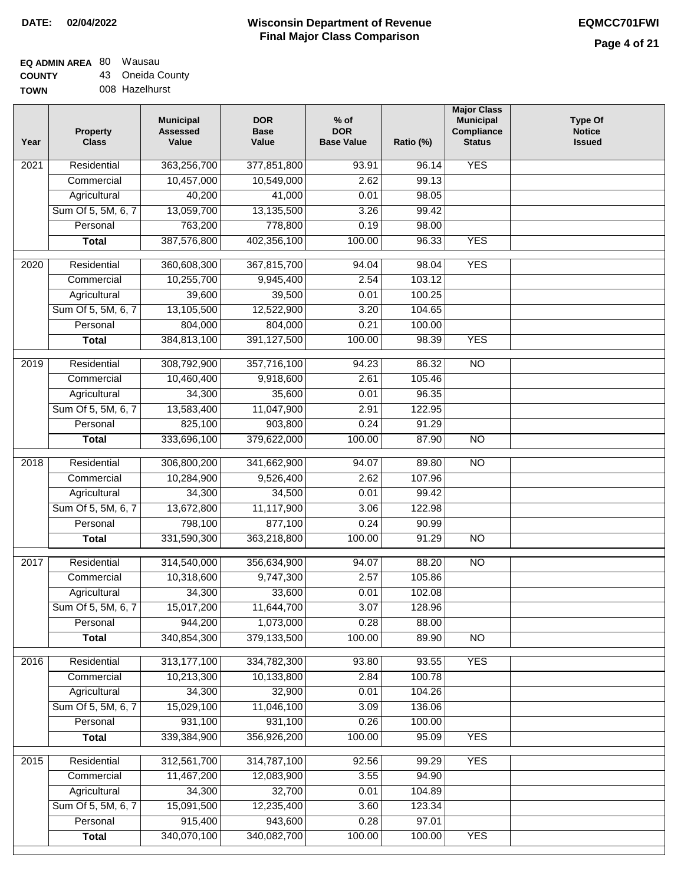<u>and</u> the state of the state of the state of the state of the state of the state of the state of the state of the state of the state of the state of the state of the state of the state of the state of the state of the stat

## **Wisconsin Department of Revenue Final Major Class Comparison DATE: 02/04/2022 EQMCC701FWI**

# **EQ ADMIN AREA** 80 Wausau

**COUNTY TOWN** 43 Oneida County 008 Hazelhurst

| Year | <b>Property</b><br><b>Class</b> | <b>Municipal</b><br><b>Assessed</b><br>Value | <b>DOR</b><br><b>Base</b><br>Value | $%$ of<br><b>DOR</b><br><b>Base Value</b> | Ratio (%) | <b>Major Class</b><br><b>Municipal</b><br>Compliance<br><b>Status</b> | <b>Type Of</b><br><b>Notice</b><br><b>Issued</b> |
|------|---------------------------------|----------------------------------------------|------------------------------------|-------------------------------------------|-----------|-----------------------------------------------------------------------|--------------------------------------------------|
| 2021 | Residential                     | 363,256,700                                  | 377,851,800                        | 93.91                                     | 96.14     | <b>YES</b>                                                            |                                                  |
|      | Commercial                      | 10,457,000                                   | 10,549,000                         | 2.62                                      | 99.13     |                                                                       |                                                  |
|      | Agricultural                    | 40,200                                       | 41,000                             | 0.01                                      | 98.05     |                                                                       |                                                  |
|      | Sum Of 5, 5M, 6, 7              | 13,059,700                                   | 13,135,500                         | 3.26                                      | 99.42     |                                                                       |                                                  |
|      | Personal                        | 763,200                                      | 778,800                            | 0.19                                      | 98.00     |                                                                       |                                                  |
|      | <b>Total</b>                    | 387,576,800                                  | 402,356,100                        | 100.00                                    | 96.33     | <b>YES</b>                                                            |                                                  |
| 2020 | Residential                     | 360,608,300                                  | 367,815,700                        | 94.04                                     | 98.04     | <b>YES</b>                                                            |                                                  |
|      | Commercial                      | 10,255,700                                   | 9,945,400                          | 2.54                                      | 103.12    |                                                                       |                                                  |
|      | Agricultural                    | 39,600                                       | 39,500                             | 0.01                                      | 100.25    |                                                                       |                                                  |
|      | Sum Of 5, 5M, 6, 7              | 13,105,500                                   | 12,522,900                         | 3.20                                      | 104.65    |                                                                       |                                                  |
|      | Personal                        | 804,000                                      | 804,000                            | 0.21                                      | 100.00    |                                                                       |                                                  |
|      | <b>Total</b>                    | 384,813,100                                  | 391,127,500                        | 100.00                                    | 98.39     | <b>YES</b>                                                            |                                                  |
|      |                                 |                                              |                                    |                                           |           |                                                                       |                                                  |
| 2019 | Residential                     | 308,792,900                                  | 357,716,100                        | 94.23                                     | 86.32     | $\overline{10}$                                                       |                                                  |
|      | Commercial                      | 10,460,400                                   | 9,918,600                          | 2.61                                      | 105.46    |                                                                       |                                                  |
|      | Agricultural                    | 34,300                                       | 35,600                             | 0.01                                      | 96.35     |                                                                       |                                                  |
|      | Sum Of 5, 5M, 6, 7              | 13,583,400                                   | 11,047,900                         | 2.91                                      | 122.95    |                                                                       |                                                  |
|      | Personal                        | 825,100                                      | 903,800                            | 0.24                                      | 91.29     |                                                                       |                                                  |
|      | <b>Total</b>                    | 333,696,100                                  | 379,622,000                        | 100.00                                    | 87.90     | $\overline{NO}$                                                       |                                                  |
| 2018 | Residential                     | 306,800,200                                  | 341,662,900                        | 94.07                                     | 89.80     | $\overline{10}$                                                       |                                                  |
|      | Commercial                      | 10,284,900                                   | 9,526,400                          | 2.62                                      | 107.96    |                                                                       |                                                  |
|      | Agricultural                    | 34,300                                       | 34,500                             | 0.01                                      | 99.42     |                                                                       |                                                  |
|      | Sum Of 5, 5M, 6, 7              | 13,672,800                                   | 11,117,900                         | 3.06                                      | 122.98    |                                                                       |                                                  |
|      | Personal                        | 798,100                                      | 877,100                            | 0.24                                      | 90.99     |                                                                       |                                                  |
|      | <b>Total</b>                    | 331,590,300                                  | 363,218,800                        | 100.00                                    | 91.29     | $\overline{10}$                                                       |                                                  |
| 2017 | Residential                     | 314,540,000                                  | 356,634,900                        | 94.07                                     | 88.20     | $\overline{NO}$                                                       |                                                  |
|      | Commercial                      | 10,318,600                                   | 9,747,300                          | 2.57                                      | 105.86    |                                                                       |                                                  |
|      | Agricultural                    | 34,300                                       | 33,600                             | 0.01                                      | 102.08    |                                                                       |                                                  |
|      | Sum Of 5, 5M, 6, 7              | 15,017,200                                   | 11,644,700                         | 3.07                                      | 128.96    |                                                                       |                                                  |
|      | Personal                        | 944,200                                      | 1,073,000                          | 0.28                                      | 88.00     |                                                                       |                                                  |
|      | <b>Total</b>                    | 340,854,300                                  | 379,133,500                        | 100.00                                    | 89.90     | $\overline{NO}$                                                       |                                                  |
| 2016 | Residential                     | 313,177,100                                  | 334,782,300                        | 93.80                                     | 93.55     | <b>YES</b>                                                            |                                                  |
|      | Commercial                      | 10,213,300                                   | 10,133,800                         | 2.84                                      | 100.78    |                                                                       |                                                  |
|      | Agricultural                    | 34,300                                       | 32,900                             | 0.01                                      | 104.26    |                                                                       |                                                  |
|      | Sum Of 5, 5M, 6, 7              | 15,029,100                                   | 11,046,100                         | 3.09                                      | 136.06    |                                                                       |                                                  |
|      | Personal                        | 931,100                                      | 931,100                            | 0.26                                      | 100.00    |                                                                       |                                                  |
|      |                                 | 339,384,900                                  | 356,926,200                        | 100.00                                    | 95.09     | <b>YES</b>                                                            |                                                  |
|      | <b>Total</b>                    |                                              |                                    |                                           |           |                                                                       |                                                  |
| 2015 | Residential                     | 312,561,700                                  | 314,787,100                        | 92.56                                     | 99.29     | <b>YES</b>                                                            |                                                  |
|      | Commercial                      | 11,467,200                                   | 12,083,900                         | 3.55                                      | 94.90     |                                                                       |                                                  |
|      | Agricultural                    | 34,300                                       | 32,700                             | 0.01                                      | 104.89    |                                                                       |                                                  |
|      | Sum Of 5, 5M, 6, 7              | 15,091,500                                   | 12,235,400                         | 3.60                                      | 123.34    |                                                                       |                                                  |
|      | Personal                        | 915,400                                      | 943,600                            | 0.28                                      | 97.01     |                                                                       |                                                  |
|      | <b>Total</b>                    | 340,070,100                                  | 340,082,700                        | 100.00                                    | 100.00    | <b>YES</b>                                                            |                                                  |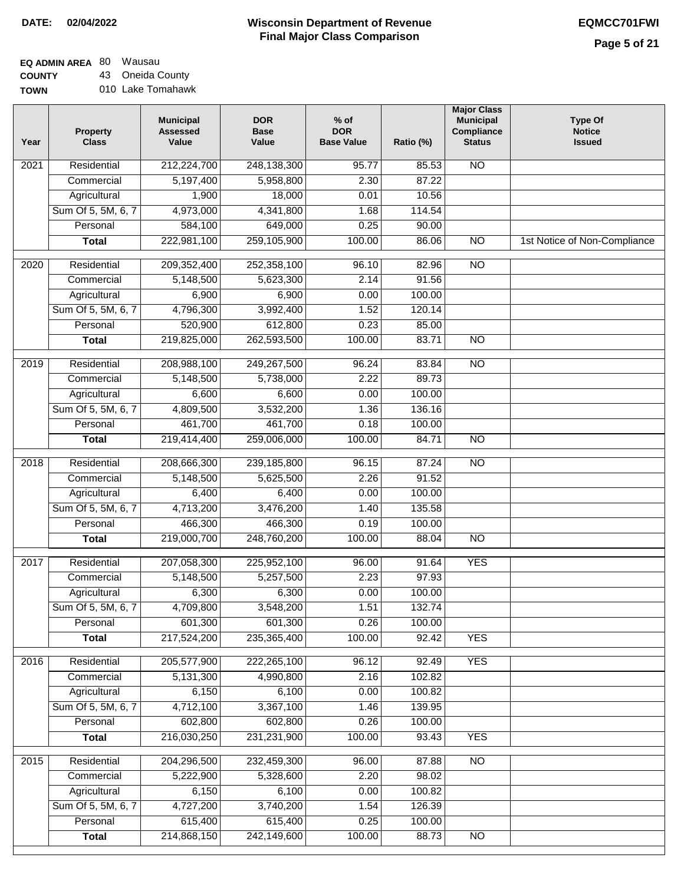# **EQ ADMIN AREA** 80 Wausau

**COUNTY TOWN** 43 Oneida County 010 Lake Tomahawk

| Year | <b>Property</b><br><b>Class</b> | <b>Municipal</b><br><b>Assessed</b><br>Value | <b>DOR</b><br><b>Base</b><br>Value | $%$ of<br><b>DOR</b><br><b>Base Value</b> | Ratio (%) | <b>Major Class</b><br><b>Municipal</b><br>Compliance<br><b>Status</b> | <b>Type Of</b><br><b>Notice</b><br><b>Issued</b> |
|------|---------------------------------|----------------------------------------------|------------------------------------|-------------------------------------------|-----------|-----------------------------------------------------------------------|--------------------------------------------------|
| 2021 | Residential                     | 212,224,700                                  | 248,138,300                        | 95.77                                     | 85.53     | <b>NO</b>                                                             |                                                  |
|      | Commercial                      | 5,197,400                                    | 5,958,800                          | 2.30                                      | 87.22     |                                                                       |                                                  |
|      | Agricultural                    | 1,900                                        | 18,000                             | 0.01                                      | 10.56     |                                                                       |                                                  |
|      | Sum Of 5, 5M, 6, 7              | 4,973,000                                    | 4,341,800                          | 1.68                                      | 114.54    |                                                                       |                                                  |
|      | Personal                        | 584,100                                      | 649,000                            | 0.25                                      | 90.00     |                                                                       |                                                  |
|      | <b>Total</b>                    | 222,981,100                                  | 259,105,900                        | 100.00                                    | 86.06     | $\overline{NO}$                                                       | 1st Notice of Non-Compliance                     |
| 2020 | Residential                     | 209,352,400                                  | 252,358,100                        | 96.10                                     | 82.96     | <b>NO</b>                                                             |                                                  |
|      | Commercial                      | 5,148,500                                    | 5,623,300                          | 2.14                                      | 91.56     |                                                                       |                                                  |
|      | Agricultural                    | 6,900                                        | 6,900                              | 0.00                                      | 100.00    |                                                                       |                                                  |
|      | Sum Of 5, 5M, 6, 7              | 4,796,300                                    | 3,992,400                          | 1.52                                      | 120.14    |                                                                       |                                                  |
|      | Personal                        | 520,900                                      | 612,800                            | 0.23                                      | 85.00     |                                                                       |                                                  |
|      | <b>Total</b>                    | 219,825,000                                  | 262,593,500                        | 100.00                                    | 83.71     | <b>NO</b>                                                             |                                                  |
| 2019 | Residential                     | 208,988,100                                  | 249,267,500                        | 96.24                                     | 83.84     | $\overline{NO}$                                                       |                                                  |
|      | Commercial                      | 5,148,500                                    | 5,738,000                          | 2.22                                      | 89.73     |                                                                       |                                                  |
|      | Agricultural                    | 6,600                                        | 6,600                              | 0.00                                      | 100.00    |                                                                       |                                                  |
|      | Sum Of 5, 5M, 6, 7              | 4,809,500                                    | 3,532,200                          | 1.36                                      | 136.16    |                                                                       |                                                  |
|      | Personal                        | 461,700                                      | 461,700                            | 0.18                                      | 100.00    |                                                                       |                                                  |
|      | <b>Total</b>                    | 219,414,400                                  | 259,006,000                        | 100.00                                    | 84.71     | $\overline{NO}$                                                       |                                                  |
| 2018 | Residential                     | 208,666,300                                  | 239,185,800                        | 96.15                                     | 87.24     | <b>NO</b>                                                             |                                                  |
|      | Commercial                      | 5,148,500                                    | 5,625,500                          | 2.26                                      | 91.52     |                                                                       |                                                  |
|      | Agricultural                    | 6,400                                        | 6,400                              | 0.00                                      | 100.00    |                                                                       |                                                  |
|      | Sum Of 5, 5M, 6, 7              | 4,713,200                                    | 3,476,200                          | 1.40                                      | 135.58    |                                                                       |                                                  |
|      | Personal                        | 466,300                                      | 466,300                            | 0.19                                      | 100.00    |                                                                       |                                                  |
|      | <b>Total</b>                    | 219,000,700                                  | 248,760,200                        | 100.00                                    | 88.04     | $\overline{NO}$                                                       |                                                  |
| 2017 | Residential                     | 207,058,300                                  | 225,952,100                        | 96.00                                     | 91.64     | <b>YES</b>                                                            |                                                  |
|      | Commercial                      | 5,148,500                                    | 5,257,500                          | 2.23                                      | 97.93     |                                                                       |                                                  |
|      | Agricultural                    | 6,300                                        | 6,300                              | 0.00                                      | 100.00    |                                                                       |                                                  |
|      | Sum Of 5, 5M, 6, 7              | 4,709,800                                    | 3,548,200                          | 1.51                                      | 132.74    |                                                                       |                                                  |
|      | Personal                        | 601,300                                      | 601,300                            | 0.26                                      | 100.00    |                                                                       |                                                  |
|      | <b>Total</b>                    | 217,524,200                                  | 235,365,400                        | 100.00                                    | 92.42     | <b>YES</b>                                                            |                                                  |
| 2016 | Residential                     | 205,577,900                                  | 222,265,100                        | 96.12                                     | 92.49     | <b>YES</b>                                                            |                                                  |
|      | Commercial                      | 5,131,300                                    | 4,990,800                          | 2.16                                      | 102.82    |                                                                       |                                                  |
|      | Agricultural                    | 6,150                                        | 6,100                              | 0.00                                      | 100.82    |                                                                       |                                                  |
|      | Sum Of 5, 5M, 6, 7              | 4,712,100                                    | 3,367,100                          | 1.46                                      | 139.95    |                                                                       |                                                  |
|      | Personal                        | 602,800                                      | 602,800                            | 0.26                                      | 100.00    |                                                                       |                                                  |
|      | <b>Total</b>                    | 216,030,250                                  | 231,231,900                        | 100.00                                    | 93.43     | <b>YES</b>                                                            |                                                  |
| 2015 | Residential                     | 204,296,500                                  | 232,459,300                        | 96.00                                     | 87.88     | $\overline{NO}$                                                       |                                                  |
|      | Commercial                      | 5,222,900                                    | 5,328,600                          | 2.20                                      | 98.02     |                                                                       |                                                  |
|      | Agricultural                    | 6,150                                        | 6,100                              | 0.00                                      | 100.82    |                                                                       |                                                  |
|      | Sum Of 5, 5M, 6, 7              | 4,727,200                                    | 3,740,200                          | 1.54                                      | 126.39    |                                                                       |                                                  |
|      | Personal                        | 615,400                                      | 615,400                            | 0.25                                      | 100.00    |                                                                       |                                                  |
|      | <b>Total</b>                    | 214,868,150                                  | 242,149,600                        | 100.00                                    | 88.73     | NO                                                                    |                                                  |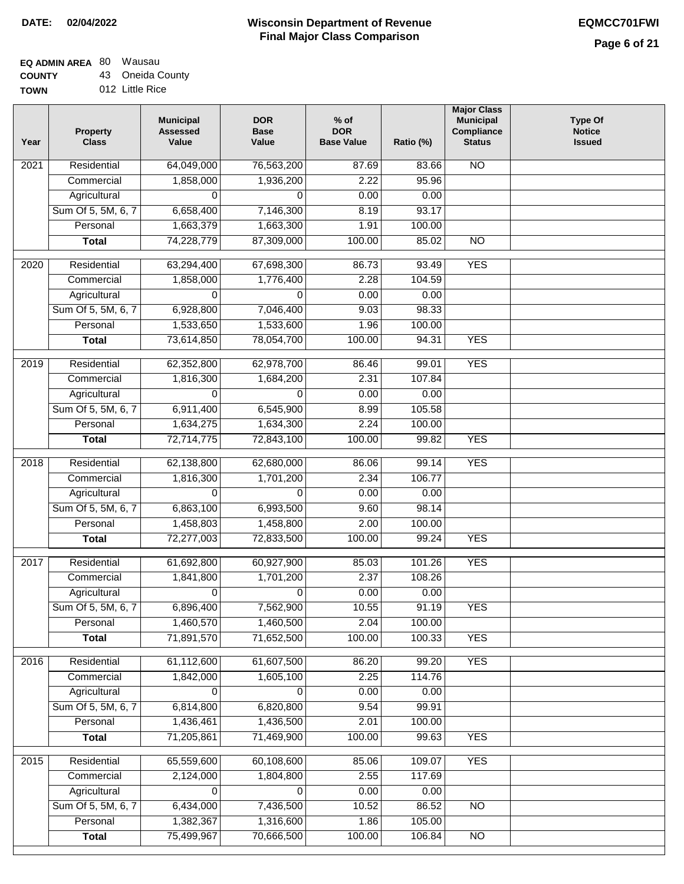# **EQ ADMIN AREA** 80 Wausau

**COUNTY TOW** 43

| JNTY | 43 Oneida County |
|------|------------------|
| NΝ   | 012 Little Rice  |

| Year              | <b>Property</b><br><b>Class</b> | <b>Municipal</b><br><b>Assessed</b><br>Value | <b>DOR</b><br><b>Base</b><br>Value | $%$ of<br><b>DOR</b><br><b>Base Value</b> | Ratio (%) | <b>Major Class</b><br><b>Municipal</b><br>Compliance<br><b>Status</b> | <b>Type Of</b><br><b>Notice</b><br><b>Issued</b> |
|-------------------|---------------------------------|----------------------------------------------|------------------------------------|-------------------------------------------|-----------|-----------------------------------------------------------------------|--------------------------------------------------|
| 2021              | Residential                     | 64,049,000                                   | 76,563,200                         | 87.69                                     | 83.66     | $\overline{NO}$                                                       |                                                  |
|                   | Commercial                      | 1,858,000                                    | 1,936,200                          | 2.22                                      | 95.96     |                                                                       |                                                  |
|                   | Agricultural                    | 0                                            | 0                                  | 0.00                                      | 0.00      |                                                                       |                                                  |
|                   | Sum Of 5, 5M, 6, 7              | 6,658,400                                    | 7,146,300                          | 8.19                                      | 93.17     |                                                                       |                                                  |
|                   | Personal                        | 1,663,379                                    | 1,663,300                          | 1.91                                      | 100.00    |                                                                       |                                                  |
|                   | <b>Total</b>                    | 74,228,779                                   | 87,309,000                         | 100.00                                    | 85.02     | $\overline{NO}$                                                       |                                                  |
| $\overline{2020}$ | Residential                     | 63,294,400                                   | 67,698,300                         | 86.73                                     | 93.49     | <b>YES</b>                                                            |                                                  |
|                   | Commercial                      | 1,858,000                                    | 1,776,400                          | 2.28                                      | 104.59    |                                                                       |                                                  |
|                   | Agricultural                    | $\Omega$                                     | 0                                  | 0.00                                      | 0.00      |                                                                       |                                                  |
|                   | Sum Of 5, 5M, 6, 7              | 6,928,800                                    | 7,046,400                          | 9.03                                      | 98.33     |                                                                       |                                                  |
|                   | Personal                        | 1,533,650                                    | 1,533,600                          | 1.96                                      | 100.00    |                                                                       |                                                  |
|                   | <b>Total</b>                    | 73,614,850                                   | 78,054,700                         | 100.00                                    | 94.31     | <b>YES</b>                                                            |                                                  |
|                   |                                 |                                              |                                    |                                           |           |                                                                       |                                                  |
| 2019              | Residential                     | 62,352,800                                   | 62,978,700                         | 86.46                                     | 99.01     | <b>YES</b>                                                            |                                                  |
|                   | Commercial                      | 1,816,300                                    | 1,684,200                          | 2.31                                      | 107.84    |                                                                       |                                                  |
|                   | Agricultural                    | $\Omega$                                     | $\Omega$                           | 0.00                                      | 0.00      |                                                                       |                                                  |
|                   | Sum Of 5, 5M, 6, 7              | 6,911,400                                    | 6,545,900                          | 8.99                                      | 105.58    |                                                                       |                                                  |
|                   | Personal                        | 1,634,275                                    | 1,634,300                          | 2.24                                      | 100.00    |                                                                       |                                                  |
|                   | <b>Total</b>                    | 72,714,775                                   | 72,843,100                         | 100.00                                    | 99.82     | <b>YES</b>                                                            |                                                  |
| 2018              | Residential                     | 62,138,800                                   | 62,680,000                         | 86.06                                     | 99.14     | <b>YES</b>                                                            |                                                  |
|                   | Commercial                      | 1,816,300                                    | 1,701,200                          | 2.34                                      | 106.77    |                                                                       |                                                  |
|                   | Agricultural                    | $\Omega$                                     | 0                                  | 0.00                                      | 0.00      |                                                                       |                                                  |
|                   | Sum Of 5, 5M, 6, 7              | 6,863,100                                    | 6,993,500                          | 9.60                                      | 98.14     |                                                                       |                                                  |
|                   | Personal                        | 1,458,803                                    | 1,458,800                          | 2.00                                      | 100.00    |                                                                       |                                                  |
|                   | <b>Total</b>                    | 72,277,003                                   | 72,833,500                         | 100.00                                    | 99.24     | <b>YES</b>                                                            |                                                  |
| 2017              | Residential                     | 61,692,800                                   | 60,927,900                         | 85.03                                     | 101.26    | <b>YES</b>                                                            |                                                  |
|                   | Commercial                      | 1,841,800                                    | 1,701,200                          | 2.37                                      | 108.26    |                                                                       |                                                  |
|                   | Agricultural                    | 0                                            | 0                                  | 0.00                                      | 0.00      |                                                                       |                                                  |
|                   | Sum Of 5, 5M, 6, 7              | 6,896,400                                    | 7,562,900                          | 10.55                                     | 91.19     | <b>YES</b>                                                            |                                                  |
|                   | Personal                        | 1,460,570                                    | 1,460,500                          | 2.04                                      | 100.00    |                                                                       |                                                  |
|                   | <b>Total</b>                    | 71,891,570                                   | 71,652,500                         | 100.00                                    | 100.33    | <b>YES</b>                                                            |                                                  |
| 2016              | Residential                     | 61,112,600                                   | 61,607,500                         | 86.20                                     | 99.20     | <b>YES</b>                                                            |                                                  |
|                   | Commercial                      | 1,842,000                                    | 1,605,100                          | 2.25                                      | 114.76    |                                                                       |                                                  |
|                   | Agricultural                    | $\Omega$                                     | 0                                  | 0.00                                      | 0.00      |                                                                       |                                                  |
|                   | Sum Of 5, 5M, 6, 7              | 6,814,800                                    | 6,820,800                          | 9.54                                      | 99.91     |                                                                       |                                                  |
|                   | Personal                        | 1,436,461                                    | 1,436,500                          | 2.01                                      | 100.00    |                                                                       |                                                  |
|                   | <b>Total</b>                    | 71,205,861                                   | 71,469,900                         | 100.00                                    | 99.63     | <b>YES</b>                                                            |                                                  |
| 2015              | Residential                     | 65,559,600                                   | 60,108,600                         | 85.06                                     | 109.07    | <b>YES</b>                                                            |                                                  |
|                   | Commercial                      | 2,124,000                                    | 1,804,800                          | 2.55                                      | 117.69    |                                                                       |                                                  |
|                   | Agricultural                    | 0                                            | 0                                  | 0.00                                      | 0.00      |                                                                       |                                                  |
|                   | Sum Of 5, 5M, 6, 7              | 6,434,000                                    | 7,436,500                          | 10.52                                     | 86.52     | NO                                                                    |                                                  |
|                   | Personal                        | 1,382,367                                    | 1,316,600                          | 1.86                                      | 105.00    |                                                                       |                                                  |
|                   | <b>Total</b>                    | 75,499,967                                   | 70,666,500                         | 100.00                                    | 106.84    | $\overline{NO}$                                                       |                                                  |
|                   |                                 |                                              |                                    |                                           |           |                                                                       |                                                  |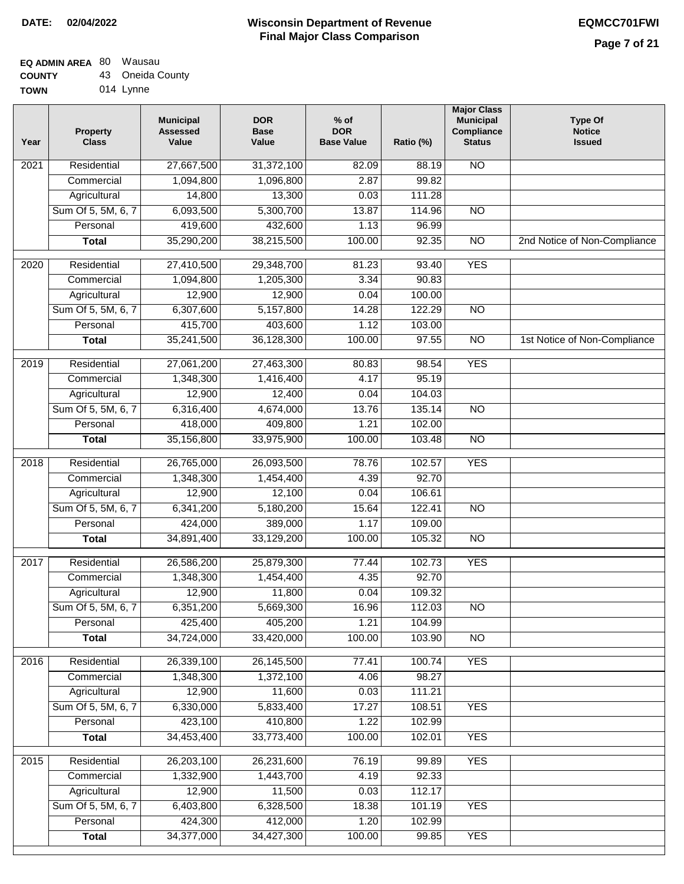## **EQ ADMIN AREA** 80 Wausau  $\sim$

| <b>COUNTY</b> | 43 Oneida County |
|---------------|------------------|
| <b>TOWN</b>   | 014 Lynne        |

| Year              | <b>Property</b><br><b>Class</b> | <b>Municipal</b><br><b>Assessed</b><br>Value | <b>DOR</b><br><b>Base</b><br>Value | $%$ of<br><b>DOR</b><br><b>Base Value</b> | Ratio (%) | <b>Major Class</b><br><b>Municipal</b><br>Compliance<br><b>Status</b> | <b>Type Of</b><br><b>Notice</b><br><b>Issued</b> |
|-------------------|---------------------------------|----------------------------------------------|------------------------------------|-------------------------------------------|-----------|-----------------------------------------------------------------------|--------------------------------------------------|
| $\overline{202}1$ | Residential                     | 27,667,500                                   | 31,372,100                         | 82.09                                     | 88.19     | $\overline{NO}$                                                       |                                                  |
|                   | Commercial                      | 1,094,800                                    | 1,096,800                          | 2.87                                      | 99.82     |                                                                       |                                                  |
|                   | Agricultural                    | 14,800                                       | 13,300                             | 0.03                                      | 111.28    |                                                                       |                                                  |
|                   | Sum Of 5, 5M, 6, 7              | 6,093,500                                    | 5,300,700                          | 13.87                                     | 114.96    | $\overline{NO}$                                                       |                                                  |
|                   | Personal                        | 419,600                                      | 432,600                            | 1.13                                      | 96.99     |                                                                       |                                                  |
|                   | <b>Total</b>                    | 35,290,200                                   | 38,215,500                         | 100.00                                    | 92.35     | $\overline{NO}$                                                       | 2nd Notice of Non-Compliance                     |
| $\overline{2020}$ | Residential                     | 27,410,500                                   | 29,348,700                         | 81.23                                     | 93.40     | <b>YES</b>                                                            |                                                  |
|                   | Commercial                      | 1,094,800                                    | 1,205,300                          | 3.34                                      | 90.83     |                                                                       |                                                  |
|                   | Agricultural                    | 12,900                                       | 12,900                             | 0.04                                      | 100.00    |                                                                       |                                                  |
|                   | Sum Of 5, 5M, 6, 7              | 6,307,600                                    | 5,157,800                          | 14.28                                     | 122.29    | $\overline{NO}$                                                       |                                                  |
|                   | Personal                        | 415,700                                      | 403,600                            | 1.12                                      | 103.00    |                                                                       |                                                  |
|                   | <b>Total</b>                    | 35,241,500                                   | 36,128,300                         | 100.00                                    | 97.55     | $\overline{NO}$                                                       | 1st Notice of Non-Compliance                     |
| 2019              | Residential                     | 27,061,200                                   | 27,463,300                         | 80.83                                     | 98.54     | <b>YES</b>                                                            |                                                  |
|                   | Commercial                      | 1,348,300                                    | 1,416,400                          | 4.17                                      | 95.19     |                                                                       |                                                  |
|                   | Agricultural                    | 12,900                                       | 12,400                             | 0.04                                      | 104.03    |                                                                       |                                                  |
|                   | Sum Of 5, 5M, 6, 7              | 6,316,400                                    | 4,674,000                          | 13.76                                     | 135.14    | $\overline{NO}$                                                       |                                                  |
|                   | Personal                        | 418,000                                      | 409,800                            | 1.21                                      | 102.00    |                                                                       |                                                  |
|                   | <b>Total</b>                    | 35,156,800                                   | 33,975,900                         | 100.00                                    | 103.48    | $\overline{NO}$                                                       |                                                  |
| 2018              | Residential                     | 26,765,000                                   | 26,093,500                         | 78.76                                     | 102.57    | <b>YES</b>                                                            |                                                  |
|                   | Commercial                      | 1,348,300                                    | 1,454,400                          | 4.39                                      | 92.70     |                                                                       |                                                  |
|                   | Agricultural                    | 12,900                                       | 12,100                             | 0.04                                      | 106.61    |                                                                       |                                                  |
|                   | Sum Of 5, 5M, 6, 7              | 6,341,200                                    | 5,180,200                          | 15.64                                     | 122.41    | $\overline{10}$                                                       |                                                  |
|                   | Personal                        | 424,000                                      | 389,000                            | 1.17                                      | 109.00    |                                                                       |                                                  |
|                   | <b>Total</b>                    | 34,891,400                                   | 33,129,200                         | 100.00                                    | 105.32    | <b>NO</b>                                                             |                                                  |
| $\overline{2017}$ | Residential                     | 26,586,200                                   | 25,879,300                         | 77.44                                     | 102.73    | <b>YES</b>                                                            |                                                  |
|                   | Commercial                      | 1,348,300                                    | 1,454,400                          | 4.35                                      | 92.70     |                                                                       |                                                  |
|                   | Agricultural                    | 12,900                                       | 11,800                             | 0.04                                      | 109.32    |                                                                       |                                                  |
|                   | Sum Of 5, 5M, 6, 7              | 6,351,200                                    | 5,669,300                          | 16.96                                     | 112.03    | <b>NO</b>                                                             |                                                  |
|                   | Personal                        | 425,400                                      | 405,200                            | 1.21                                      | 104.99    |                                                                       |                                                  |
|                   | <b>Total</b>                    | 34,724,000                                   | 33,420,000                         | 100.00                                    | 103.90    | <b>NO</b>                                                             |                                                  |
| 2016              | Residential                     | 26,339,100                                   | 26,145,500                         | 77.41                                     | 100.74    | <b>YES</b>                                                            |                                                  |
|                   | Commercial                      | 1,348,300                                    | 1,372,100                          | 4.06                                      | 98.27     |                                                                       |                                                  |
|                   | Agricultural                    | 12,900                                       | 11,600                             | 0.03                                      | 111.21    |                                                                       |                                                  |
|                   | Sum Of 5, 5M, 6, 7              | 6,330,000                                    | 5,833,400                          | 17.27                                     | 108.51    | <b>YES</b>                                                            |                                                  |
|                   | Personal                        | 423,100                                      | 410,800                            | 1.22                                      | 102.99    |                                                                       |                                                  |
|                   | <b>Total</b>                    | 34,453,400                                   | 33,773,400                         | 100.00                                    | 102.01    | <b>YES</b>                                                            |                                                  |
| 2015              | Residential                     | 26,203,100                                   | 26,231,600                         | 76.19                                     | 99.89     | <b>YES</b>                                                            |                                                  |
|                   | Commercial                      | 1,332,900                                    | 1,443,700                          | 4.19                                      | 92.33     |                                                                       |                                                  |
|                   | Agricultural                    | 12,900                                       | 11,500                             | 0.03                                      | 112.17    |                                                                       |                                                  |
|                   | Sum Of 5, 5M, 6, 7              | 6,403,800                                    | 6,328,500                          | 18.38                                     | 101.19    | <b>YES</b>                                                            |                                                  |
|                   | Personal                        | 424,300                                      | 412,000                            | 1.20                                      | 102.99    |                                                                       |                                                  |
|                   | <b>Total</b>                    | 34,377,000                                   | 34,427,300                         | 100.00                                    | 99.85     | <b>YES</b>                                                            |                                                  |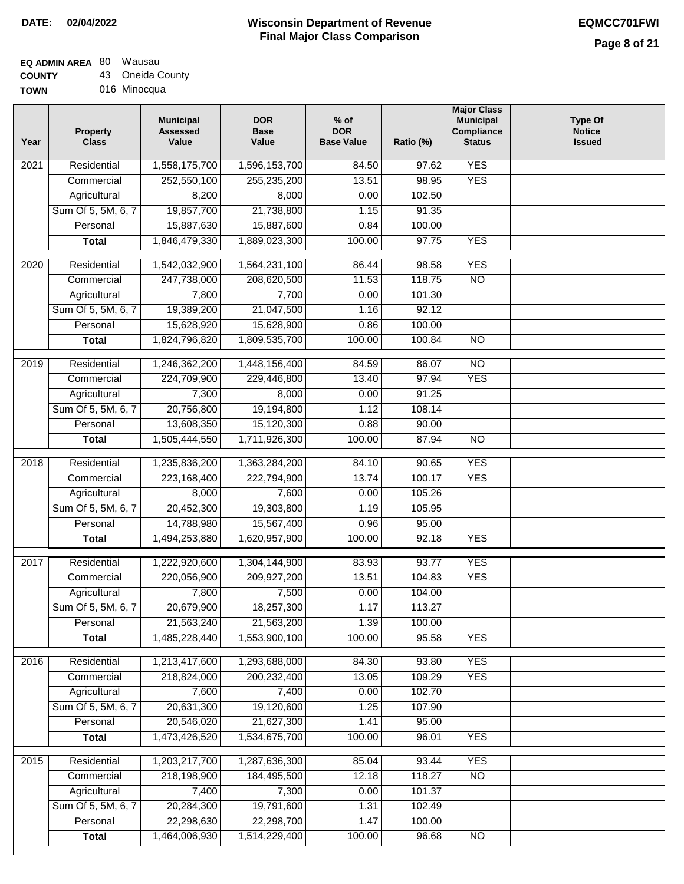# **EQ ADMIN AREA** 80 Wausau

**COUNTY TOWN** 43 Oneida County

| 016 Minocqua |  |  |  |
|--------------|--|--|--|
|--------------|--|--|--|

| Year              | <b>Property</b><br><b>Class</b> | <b>Municipal</b><br><b>Assessed</b><br>Value | <b>DOR</b><br><b>Base</b><br>Value | $%$ of<br><b>DOR</b><br><b>Base Value</b> | Ratio (%) | <b>Major Class</b><br><b>Municipal</b><br>Compliance<br><b>Status</b> | <b>Type Of</b><br><b>Notice</b><br><b>Issued</b> |
|-------------------|---------------------------------|----------------------------------------------|------------------------------------|-------------------------------------------|-----------|-----------------------------------------------------------------------|--------------------------------------------------|
| $\overline{202}1$ | Residential                     | 1,558,175,700                                | 1,596,153,700                      | 84.50                                     | 97.62     | <b>YES</b>                                                            |                                                  |
|                   | Commercial                      | 252,550,100                                  | 255,235,200                        | 13.51                                     | 98.95     | <b>YES</b>                                                            |                                                  |
|                   | Agricultural                    | 8,200                                        | 8,000                              | 0.00                                      | 102.50    |                                                                       |                                                  |
|                   | Sum Of 5, 5M, 6, 7              | 19,857,700                                   | 21,738,800                         | 1.15                                      | 91.35     |                                                                       |                                                  |
|                   | Personal                        | 15,887,630                                   | 15,887,600                         | 0.84                                      | 100.00    |                                                                       |                                                  |
|                   | <b>Total</b>                    | 1,846,479,330                                | 1,889,023,300                      | 100.00                                    | 97.75     | <b>YES</b>                                                            |                                                  |
| $\overline{2020}$ | Residential                     | 1,542,032,900                                | 1,564,231,100                      | 86.44                                     | 98.58     | <b>YES</b>                                                            |                                                  |
|                   | Commercial                      | 247,738,000                                  | 208,620,500                        | 11.53                                     | 118.75    | $\overline{NO}$                                                       |                                                  |
|                   | Agricultural                    | 7,800                                        | 7,700                              | 0.00                                      | 101.30    |                                                                       |                                                  |
|                   | Sum Of 5, 5M, 6, 7              | 19,389,200                                   | 21,047,500                         | 1.16                                      | 92.12     |                                                                       |                                                  |
|                   | Personal                        | 15,628,920                                   | 15,628,900                         | 0.86                                      | 100.00    |                                                                       |                                                  |
|                   | <b>Total</b>                    | 1,824,796,820                                | 1,809,535,700                      | 100.00                                    | 100.84    | $\overline{NO}$                                                       |                                                  |
|                   |                                 |                                              |                                    |                                           |           |                                                                       |                                                  |
| 2019              | Residential                     | 1,246,362,200                                | 1,448,156,400                      | 84.59                                     | 86.07     | $\overline{10}$                                                       |                                                  |
|                   | Commercial                      | 224,709,900                                  | 229,446,800                        | 13.40                                     | 97.94     | <b>YES</b>                                                            |                                                  |
|                   | Agricultural                    | 7,300                                        | 8,000                              | 0.00                                      | 91.25     |                                                                       |                                                  |
|                   | Sum Of 5, 5M, 6, 7              | 20,756,800                                   | 19,194,800                         | 1.12                                      | 108.14    |                                                                       |                                                  |
|                   | Personal                        | 13,608,350                                   | 15,120,300                         | 0.88                                      | 90.00     |                                                                       |                                                  |
|                   | <b>Total</b>                    | 1,505,444,550                                | 1,711,926,300                      | 100.00                                    | 87.94     | $\overline{NO}$                                                       |                                                  |
| 2018              | Residential                     | 1,235,836,200                                | 1,363,284,200                      | 84.10                                     | 90.65     | <b>YES</b>                                                            |                                                  |
|                   | Commercial                      | 223,168,400                                  | 222,794,900                        | 13.74                                     | 100.17    | <b>YES</b>                                                            |                                                  |
|                   | Agricultural                    | 8,000                                        | 7,600                              | 0.00                                      | 105.26    |                                                                       |                                                  |
|                   | Sum Of 5, 5M, 6, 7              | 20,452,300                                   | 19,303,800                         | 1.19                                      | 105.95    |                                                                       |                                                  |
|                   | Personal                        | 14,788,980                                   | 15,567,400                         | 0.96                                      | 95.00     |                                                                       |                                                  |
|                   | <b>Total</b>                    | 1,494,253,880                                | 1,620,957,900                      | 100.00                                    | 92.18     | <b>YES</b>                                                            |                                                  |
| $\overline{2017}$ | Residential                     | 1,222,920,600                                | 1,304,144,900                      | 83.93                                     | 93.77     | <b>YES</b>                                                            |                                                  |
|                   | Commercial                      | 220,056,900                                  | 209,927,200                        | 13.51                                     | 104.83    | <b>YES</b>                                                            |                                                  |
|                   | Agricultural                    | 7,800                                        | 7,500                              | 0.00                                      | 104.00    |                                                                       |                                                  |
|                   | Sum Of 5, 5M, 6, 7              | 20,679,900                                   | 18,257,300                         | 1.17                                      | 113.27    |                                                                       |                                                  |
|                   | Personal                        | 21,563,240                                   | 21,563,200                         | 1.39                                      | 100.00    |                                                                       |                                                  |
|                   | <b>Total</b>                    | 1,485,228,440                                | 1,553,900,100                      | 100.00                                    | 95.58     | <b>YES</b>                                                            |                                                  |
| 2016              | Residential                     | 1,213,417,600                                | 1,293,688,000                      | 84.30                                     | 93.80     | <b>YES</b>                                                            |                                                  |
|                   | Commercial                      | 218,824,000                                  | 200,232,400                        | 13.05                                     | 109.29    | <b>YES</b>                                                            |                                                  |
|                   | Agricultural                    | 7,600                                        | 7,400                              | 0.00                                      | 102.70    |                                                                       |                                                  |
|                   | Sum Of 5, 5M, 6, 7              | 20,631,300                                   | 19,120,600                         | 1.25                                      | 107.90    |                                                                       |                                                  |
|                   | Personal                        | 20,546,020                                   | 21,627,300                         | 1.41                                      | 95.00     |                                                                       |                                                  |
|                   | <b>Total</b>                    | 1,473,426,520                                | 1,534,675,700                      | 100.00                                    | 96.01     | <b>YES</b>                                                            |                                                  |
| 2015              | Residential                     | 1,203,217,700                                | 1,287,636,300                      | 85.04                                     | 93.44     | <b>YES</b>                                                            |                                                  |
|                   | Commercial                      | 218,198,900                                  | 184,495,500                        | 12.18                                     | 118.27    | $\overline{NO}$                                                       |                                                  |
|                   | Agricultural                    | 7,400                                        | 7,300                              | 0.00                                      | 101.37    |                                                                       |                                                  |
|                   | Sum Of 5, 5M, 6, 7              | 20,284,300                                   | 19,791,600                         | 1.31                                      | 102.49    |                                                                       |                                                  |
|                   | Personal                        | 22,298,630                                   | 22,298,700                         | 1.47                                      | 100.00    |                                                                       |                                                  |
|                   | <b>Total</b>                    | 1,464,006,930                                | 1,514,229,400                      | 100.00                                    | 96.68     | $\overline{NO}$                                                       |                                                  |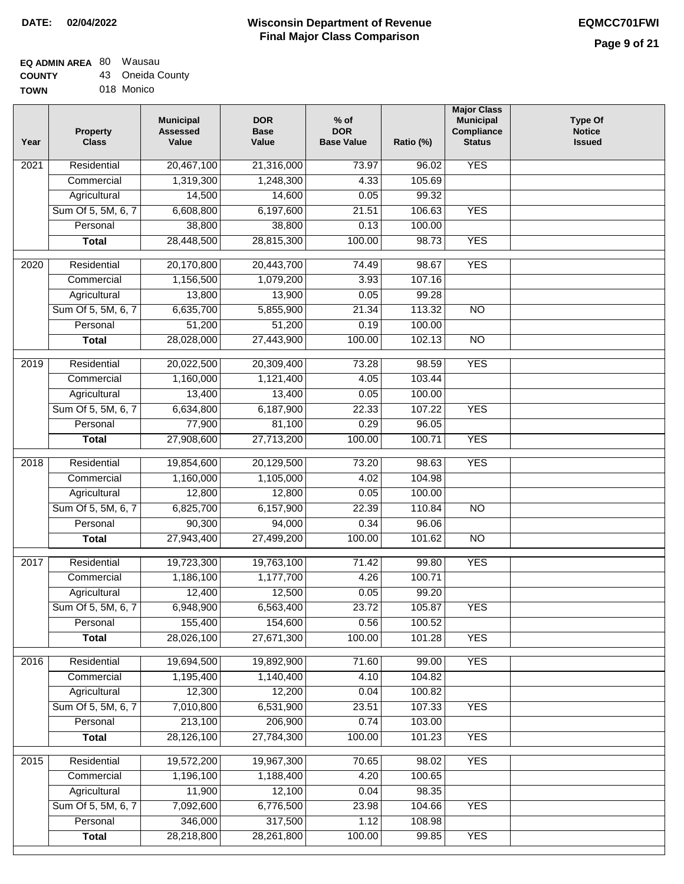## **Wisconsin Department of Revenue Final Major Class Comparison DATE: 02/04/2022 EQMCC701FWI**

## **EQ ADMIN AREA** 80 Wausau **COUNTY**

**TOWN** 43 Oneida County 018 Monico

| Year | Property<br><b>Class</b>           | <b>Municipal</b><br><b>Assessed</b><br>Value | <b>DOR</b><br><b>Base</b><br>Value | $%$ of<br><b>DOR</b><br><b>Base Value</b> | Ratio (%)        | <b>Major Class</b><br><b>Municipal</b><br>Compliance<br><b>Status</b> | <b>Type Of</b><br><b>Notice</b><br><b>Issued</b> |
|------|------------------------------------|----------------------------------------------|------------------------------------|-------------------------------------------|------------------|-----------------------------------------------------------------------|--------------------------------------------------|
| 2021 | Residential                        | 20,467,100                                   | 21,316,000                         | 73.97                                     | 96.02            | <b>YES</b>                                                            |                                                  |
|      | Commercial                         | 1,319,300                                    | 1,248,300                          | 4.33                                      | 105.69           |                                                                       |                                                  |
|      | Agricultural                       | 14,500                                       | 14,600                             | 0.05                                      | 99.32            |                                                                       |                                                  |
|      | Sum Of 5, 5M, 6, 7                 | 6,608,800                                    | 6,197,600                          | 21.51                                     | 106.63           | <b>YES</b>                                                            |                                                  |
|      | Personal                           | 38,800                                       | 38,800                             | 0.13                                      | 100.00           |                                                                       |                                                  |
|      | <b>Total</b>                       | 28,448,500                                   | 28,815,300                         | 100.00                                    | 98.73            | <b>YES</b>                                                            |                                                  |
| 2020 | Residential                        | 20,170,800                                   | 20,443,700                         | 74.49                                     | 98.67            | <b>YES</b>                                                            |                                                  |
|      | Commercial                         | 1,156,500                                    | 1,079,200                          | 3.93                                      | 107.16           |                                                                       |                                                  |
|      | Agricultural                       | 13,800                                       | 13,900                             | 0.05                                      | 99.28            |                                                                       |                                                  |
|      | Sum Of 5, 5M, 6, 7                 | 6,635,700                                    | 5,855,900                          | 21.34                                     | 113.32           | $\overline{NO}$                                                       |                                                  |
|      | Personal                           | 51,200                                       | 51,200                             | 0.19                                      | 100.00           |                                                                       |                                                  |
|      | <b>Total</b>                       | 28,028,000                                   | 27,443,900                         | 100.00                                    | 102.13           | $\overline{NO}$                                                       |                                                  |
| 2019 | Residential                        | 20,022,500                                   | 20,309,400                         | 73.28                                     | 98.59            | <b>YES</b>                                                            |                                                  |
|      | Commercial                         | 1,160,000                                    | 1,121,400                          | 4.05                                      | 103.44           |                                                                       |                                                  |
|      | Agricultural                       | 13,400                                       | 13,400                             | 0.05                                      | 100.00           |                                                                       |                                                  |
|      | Sum Of 5, 5M, 6, 7                 | 6,634,800                                    | 6,187,900                          | 22.33                                     | 107.22           | <b>YES</b>                                                            |                                                  |
|      | Personal                           | 77,900                                       | 81,100                             | 0.29                                      | 96.05            |                                                                       |                                                  |
|      | <b>Total</b>                       | 27,908,600                                   | 27,713,200                         | 100.00                                    | 100.71           | <b>YES</b>                                                            |                                                  |
|      |                                    |                                              |                                    |                                           |                  |                                                                       |                                                  |
| 2018 | Residential                        | 19,854,600                                   | 20,129,500                         | 73.20                                     | 98.63            | <b>YES</b>                                                            |                                                  |
|      | Commercial                         | 1,160,000                                    | 1,105,000                          | 4.02<br>0.05                              | 104.98<br>100.00 |                                                                       |                                                  |
|      | Agricultural<br>Sum Of 5, 5M, 6, 7 | 12,800<br>6,825,700                          | 12,800<br>6,157,900                | 22.39                                     | 110.84           | $\overline{NO}$                                                       |                                                  |
|      | Personal                           | 90,300                                       | 94,000                             | 0.34                                      | 96.06            |                                                                       |                                                  |
|      | <b>Total</b>                       | 27,943,400                                   | 27,499,200                         | 100.00                                    | 101.62           | <b>NO</b>                                                             |                                                  |
|      |                                    |                                              |                                    |                                           |                  |                                                                       |                                                  |
| 2017 | Residential                        | 19,723,300                                   | 19,763,100                         | 71.42                                     | 99.80            | <b>YES</b>                                                            |                                                  |
|      | Commercial                         | 1,186,100                                    | 1,177,700                          | 4.26                                      | 100.71           |                                                                       |                                                  |
|      | Agricultural                       | 12,400                                       | 12,500                             | 0.05                                      | 99.20            |                                                                       |                                                  |
|      | Sum Of 5, 5M, 6, 7                 | 6,948,900                                    | 6,563,400                          | 23.72                                     | 105.87           | <b>YES</b>                                                            |                                                  |
|      | Personal                           | 155,400                                      | 154,600                            | 0.56                                      | 100.52           |                                                                       |                                                  |
|      | <b>Total</b>                       | 28,026,100                                   | 27,671,300                         | 100.00                                    | 101.28           | <b>YES</b>                                                            |                                                  |
| 2016 | Residential                        | 19,694,500                                   | 19,892,900                         | 71.60                                     | 99.00            | <b>YES</b>                                                            |                                                  |
|      | Commercial                         | 1,195,400                                    | 1,140,400                          | 4.10                                      | 104.82           |                                                                       |                                                  |
|      | Agricultural                       | 12,300                                       | 12,200                             | 0.04                                      | 100.82           |                                                                       |                                                  |
|      | Sum Of 5, 5M, 6, 7                 | 7,010,800                                    | 6,531,900                          | 23.51                                     | 107.33           | <b>YES</b>                                                            |                                                  |
|      | Personal                           | 213,100                                      | 206,900                            | 0.74                                      | 103.00           |                                                                       |                                                  |
|      | <b>Total</b>                       | 28,126,100                                   | 27,784,300                         | 100.00                                    | 101.23           | <b>YES</b>                                                            |                                                  |
| 2015 | Residential                        | 19,572,200                                   | 19,967,300                         | 70.65                                     | 98.02            | <b>YES</b>                                                            |                                                  |
|      | Commercial                         | 1,196,100                                    | 1,188,400                          | 4.20                                      | 100.65           |                                                                       |                                                  |
|      | Agricultural                       | 11,900                                       | 12,100                             | 0.04                                      | 98.35            |                                                                       |                                                  |
|      | Sum Of 5, 5M, 6, 7                 | 7,092,600                                    | 6,776,500                          | 23.98                                     | 104.66           | <b>YES</b>                                                            |                                                  |
|      | Personal                           | 346,000                                      | 317,500                            | 1.12                                      | 108.98           |                                                                       |                                                  |
|      | <b>Total</b>                       | 28,218,800                                   | 28,261,800                         | 100.00                                    | 99.85            | <b>YES</b>                                                            |                                                  |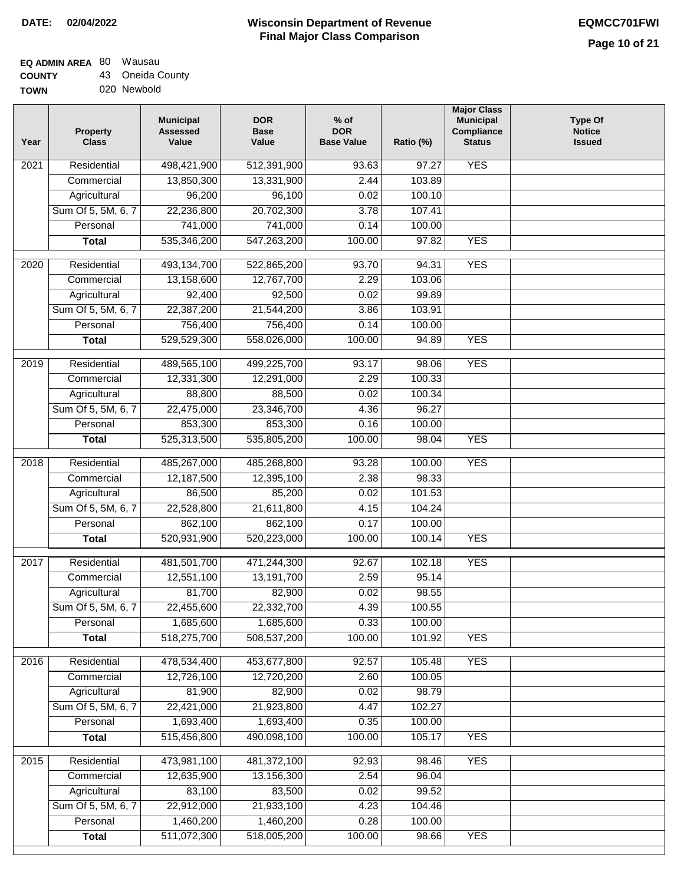## **Wisconsin Department of Revenue Final Major Class Comparison DATE: 02/04/2022 EQMCC701FWI**

٦

# **EQ ADMIN AREA** 80 Wausau

**COUNTY TOWN** 43 Oneida County 020 Newbold

| Year             | <b>Property</b><br><b>Class</b> | <b>Municipal</b><br><b>Assessed</b><br>Value | <b>DOR</b><br><b>Base</b><br>Value | $%$ of<br><b>DOR</b><br><b>Base Value</b> | Ratio (%) | <b>Major Class</b><br><b>Municipal</b><br>Compliance<br><b>Status</b> | <b>Type Of</b><br><b>Notice</b><br><b>Issued</b> |
|------------------|---------------------------------|----------------------------------------------|------------------------------------|-------------------------------------------|-----------|-----------------------------------------------------------------------|--------------------------------------------------|
| 2021             | Residential                     | 498,421,900                                  | 512,391,900                        | 93.63                                     | 97.27     | <b>YES</b>                                                            |                                                  |
|                  | Commercial                      | 13,850,300                                   | 13,331,900                         | 2.44                                      | 103.89    |                                                                       |                                                  |
|                  | Agricultural                    | 96,200                                       | 96,100                             | 0.02                                      | 100.10    |                                                                       |                                                  |
|                  | Sum Of 5, 5M, 6, 7              | 22,236,800                                   | 20,702,300                         | 3.78                                      | 107.41    |                                                                       |                                                  |
|                  | Personal                        | 741,000                                      | 741,000                            | 0.14                                      | 100.00    |                                                                       |                                                  |
|                  | <b>Total</b>                    | 535,346,200                                  | 547,263,200                        | 100.00                                    | 97.82     | <b>YES</b>                                                            |                                                  |
| 2020             | Residential                     | 493,134,700                                  | 522,865,200                        | 93.70                                     | 94.31     | <b>YES</b>                                                            |                                                  |
|                  | Commercial                      | 13,158,600                                   | 12,767,700                         | 2.29                                      | 103.06    |                                                                       |                                                  |
|                  | Agricultural                    | 92,400                                       | 92,500                             | 0.02                                      | 99.89     |                                                                       |                                                  |
|                  | Sum Of 5, 5M, 6, 7              | 22,387,200                                   | 21,544,200                         | 3.86                                      | 103.91    |                                                                       |                                                  |
|                  | Personal                        | 756,400                                      | 756,400                            | 0.14                                      | 100.00    |                                                                       |                                                  |
|                  | <b>Total</b>                    | 529,529,300                                  | 558,026,000                        | 100.00                                    | 94.89     | <b>YES</b>                                                            |                                                  |
|                  |                                 |                                              |                                    |                                           |           |                                                                       |                                                  |
| $\frac{1}{2019}$ | Residential                     | 489,565,100                                  | 499,225,700                        | 93.17                                     | 98.06     | <b>YES</b>                                                            |                                                  |
|                  | Commercial                      | 12,331,300                                   | 12,291,000                         | 2.29                                      | 100.33    |                                                                       |                                                  |
|                  | Agricultural                    | 88,800                                       | 88,500                             | 0.02                                      | 100.34    |                                                                       |                                                  |
|                  | Sum Of 5, 5M, 6, 7              | 22,475,000                                   | 23,346,700                         | 4.36                                      | 96.27     |                                                                       |                                                  |
|                  | Personal                        | 853,300                                      | 853,300                            | 0.16                                      | 100.00    |                                                                       |                                                  |
|                  | <b>Total</b>                    | 525,313,500                                  | 535,805,200                        | 100.00                                    | 98.04     | <b>YES</b>                                                            |                                                  |
| 2018             | Residential                     | 485,267,000                                  | 485,268,800                        | 93.28                                     | 100.00    | <b>YES</b>                                                            |                                                  |
|                  | Commercial                      | 12,187,500                                   | 12,395,100                         | 2.38                                      | 98.33     |                                                                       |                                                  |
|                  | Agricultural                    | 86,500                                       | 85,200                             | 0.02                                      | 101.53    |                                                                       |                                                  |
|                  | Sum Of 5, 5M, 6, 7              | 22,528,800                                   | 21,611,800                         | 4.15                                      | 104.24    |                                                                       |                                                  |
|                  | Personal                        | 862,100                                      | 862,100                            | 0.17                                      | 100.00    |                                                                       |                                                  |
|                  | <b>Total</b>                    | 520,931,900                                  | 520,223,000                        | 100.00                                    | 100.14    | <b>YES</b>                                                            |                                                  |
| 2017             | Residential                     | 481,501,700                                  | 471,244,300                        | 92.67                                     | 102.18    | <b>YES</b>                                                            |                                                  |
|                  | Commercial                      | 12,551,100                                   | 13,191,700                         | 2.59                                      | 95.14     |                                                                       |                                                  |
|                  | Agricultural                    | 81,700                                       | 82,900                             | 0.02                                      | 98.55     |                                                                       |                                                  |
|                  | Sum Of 5, 5M, 6, 7              | 22,455,600                                   | 22,332,700                         | 4.39                                      | 100.55    |                                                                       |                                                  |
|                  | Personal                        | 1,685,600                                    | 1,685,600                          | 0.33                                      | 100.00    |                                                                       |                                                  |
|                  | <b>Total</b>                    | 518,275,700                                  | 508,537,200                        | 100.00                                    | 101.92    | <b>YES</b>                                                            |                                                  |
|                  | Residential                     |                                              |                                    |                                           |           |                                                                       |                                                  |
| 2016             |                                 | 478,534,400                                  | 453,677,800                        | 92.57                                     | 105.48    | <b>YES</b>                                                            |                                                  |
|                  | Commercial                      | 12,726,100                                   | 12,720,200                         | 2.60                                      | 100.05    |                                                                       |                                                  |
|                  | Agricultural                    | 81,900                                       | 82,900                             | 0.02                                      | 98.79     |                                                                       |                                                  |
|                  | Sum Of 5, 5M, 6, 7              | 22,421,000                                   | 21,923,800                         | 4.47                                      | 102.27    |                                                                       |                                                  |
|                  | Personal                        | 1,693,400                                    | 1,693,400                          | 0.35                                      | 100.00    |                                                                       |                                                  |
|                  | <b>Total</b>                    | 515,456,800                                  | 490,098,100                        | 100.00                                    | 105.17    | <b>YES</b>                                                            |                                                  |
| 2015             | Residential                     | 473,981,100                                  | 481,372,100                        | 92.93                                     | 98.46     | <b>YES</b>                                                            |                                                  |
|                  | Commercial                      | 12,635,900                                   | 13,156,300                         | 2.54                                      | 96.04     |                                                                       |                                                  |
|                  | Agricultural                    | 83,100                                       | 83,500                             | 0.02                                      | 99.52     |                                                                       |                                                  |
|                  | Sum Of 5, 5M, 6, 7              | 22,912,000                                   | 21,933,100                         | 4.23                                      | 104.46    |                                                                       |                                                  |
|                  | Personal                        | 1,460,200                                    | 1,460,200                          | 0.28                                      | 100.00    |                                                                       |                                                  |
|                  | <b>Total</b>                    | 511,072,300                                  | 518,005,200                        | 100.00                                    | 98.66     | <b>YES</b>                                                            |                                                  |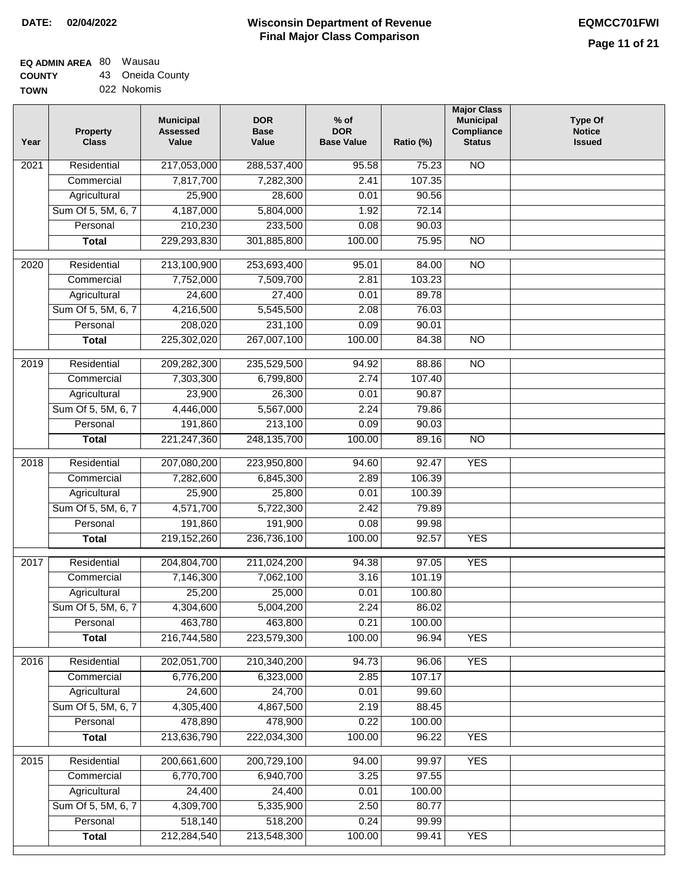# **EQ ADMIN AREA** 80 Wausau

**COUNTY TOWN** 43 Oneida County 022 Nokomis

| Year              | <b>Property</b><br><b>Class</b> | <b>Municipal</b><br><b>Assessed</b><br>Value | <b>DOR</b><br><b>Base</b><br>Value | $%$ of<br><b>DOR</b><br><b>Base Value</b> | Ratio (%)       | <b>Major Class</b><br><b>Municipal</b><br>Compliance<br><b>Status</b> | <b>Type Of</b><br><b>Notice</b><br><b>Issued</b> |
|-------------------|---------------------------------|----------------------------------------------|------------------------------------|-------------------------------------------|-----------------|-----------------------------------------------------------------------|--------------------------------------------------|
| $\overline{202}1$ | Residential                     | 217,053,000                                  | 288,537,400                        | 95.58                                     | 75.23           | <b>NO</b>                                                             |                                                  |
|                   | Commercial                      | 7,817,700                                    | 7,282,300                          | 2.41                                      | 107.35          |                                                                       |                                                  |
|                   | Agricultural                    | 25,900                                       | 28,600                             | 0.01                                      | 90.56           |                                                                       |                                                  |
|                   | Sum Of 5, 5M, 6, 7              | 4,187,000                                    | 5,804,000                          | 1.92                                      | 72.14           |                                                                       |                                                  |
|                   | Personal                        | 210,230                                      | 233,500                            | 0.08                                      | 90.03           |                                                                       |                                                  |
|                   | <b>Total</b>                    | 229,293,830                                  | 301,885,800                        | 100.00                                    | 75.95           | $\overline{NO}$                                                       |                                                  |
| 2020              | Residential                     | 213,100,900                                  | 253,693,400                        | 95.01                                     | 84.00           | $\overline{NO}$                                                       |                                                  |
|                   | Commercial                      | 7,752,000                                    | 7,509,700                          | 2.81                                      | 103.23          |                                                                       |                                                  |
|                   | Agricultural                    | 24,600                                       | 27,400                             | 0.01                                      | 89.78           |                                                                       |                                                  |
|                   | Sum Of 5, 5M, 6, 7              | 4,216,500                                    | 5,545,500                          | 2.08                                      | 76.03           |                                                                       |                                                  |
|                   | Personal                        | 208,020                                      | 231,100                            | 0.09                                      | 90.01           |                                                                       |                                                  |
|                   | <b>Total</b>                    | 225,302,020                                  | 267,007,100                        | 100.00                                    | 84.38           | $\overline{NO}$                                                       |                                                  |
|                   |                                 |                                              |                                    |                                           |                 |                                                                       |                                                  |
| 2019              | Residential<br>Commercial       | 209,282,300                                  | 235,529,500                        | 94.92<br>2.74                             | 88.86<br>107.40 | $\overline{NO}$                                                       |                                                  |
|                   |                                 | 7,303,300                                    | 6,799,800<br>26,300                |                                           |                 |                                                                       |                                                  |
|                   | Agricultural                    | 23,900<br>4,446,000                          |                                    | 0.01                                      | 90.87           |                                                                       |                                                  |
|                   | Sum Of 5, 5M, 6, 7              | 191,860                                      | 5,567,000<br>213,100               | 2.24                                      | 79.86           |                                                                       |                                                  |
|                   | Personal                        |                                              |                                    | 0.09<br>100.00                            | 90.03           |                                                                       |                                                  |
|                   | <b>Total</b>                    | 221, 247, 360                                | 248, 135, 700                      |                                           | 89.16           | $\overline{NO}$                                                       |                                                  |
| 2018              | Residential                     | 207,080,200                                  | 223,950,800                        | 94.60                                     | 92.47           | <b>YES</b>                                                            |                                                  |
|                   | Commercial                      | 7,282,600                                    | 6,845,300                          | 2.89                                      | 106.39          |                                                                       |                                                  |
|                   | Agricultural                    | 25,900                                       | 25,800                             | 0.01                                      | 100.39          |                                                                       |                                                  |
|                   | Sum Of 5, 5M, 6, 7              | 4,571,700                                    | 5,722,300                          | 2.42                                      | 79.89           |                                                                       |                                                  |
|                   | Personal                        | 191,860                                      | 191,900                            | 0.08                                      | 99.98           |                                                                       |                                                  |
|                   | <b>Total</b>                    | 219,152,260                                  | 236,736,100                        | 100.00                                    | 92.57           | <b>YES</b>                                                            |                                                  |
| 2017              | Residential                     | 204,804,700                                  | 211,024,200                        | 94.38                                     | 97.05           | <b>YES</b>                                                            |                                                  |
|                   | Commercial                      | 7,146,300                                    | 7,062,100                          | 3.16                                      | 101.19          |                                                                       |                                                  |
|                   | Agricultural                    | 25,200                                       | 25,000                             | 0.01                                      | 100.80          |                                                                       |                                                  |
|                   | Sum Of 5, 5M, 6, 7              | 4,304,600                                    | 5,004,200                          | 2.24                                      | 86.02           |                                                                       |                                                  |
|                   | Personal                        | 463,780                                      | 463,800                            | 0.21                                      | 100.00          |                                                                       |                                                  |
|                   | <b>Total</b>                    | 216,744,580                                  | 223,579,300                        | 100.00                                    | 96.94           | <b>YES</b>                                                            |                                                  |
| 2016              | Residential                     | 202,051,700                                  | 210,340,200                        | 94.73                                     | 96.06           | <b>YES</b>                                                            |                                                  |
|                   | Commercial                      | 6,776,200                                    | 6,323,000                          | 2.85                                      | 107.17          |                                                                       |                                                  |
|                   | Agricultural                    | 24,600                                       | 24,700                             | 0.01                                      | 99.60           |                                                                       |                                                  |
|                   | Sum Of 5, 5M, 6, 7              | 4,305,400                                    | 4,867,500                          | 2.19                                      | 88.45           |                                                                       |                                                  |
|                   | Personal                        | 478,890                                      | 478,900                            | 0.22                                      | 100.00          |                                                                       |                                                  |
|                   | <b>Total</b>                    | 213,636,790                                  | 222,034,300                        | 100.00                                    | 96.22           | <b>YES</b>                                                            |                                                  |
| 2015              | Residential                     | 200,661,600                                  | 200,729,100                        | 94.00                                     | 99.97           | <b>YES</b>                                                            |                                                  |
|                   | Commercial                      | 6,770,700                                    | 6,940,700                          | 3.25                                      | 97.55           |                                                                       |                                                  |
|                   | Agricultural                    | 24,400                                       | 24,400                             | 0.01                                      | 100.00          |                                                                       |                                                  |
|                   | Sum Of 5, 5M, 6, 7              | 4,309,700                                    | 5,335,900                          | 2.50                                      | 80.77           |                                                                       |                                                  |
|                   | Personal                        | 518,140                                      | 518,200                            | 0.24                                      | 99.99           |                                                                       |                                                  |
|                   | <b>Total</b>                    | 212,284,540                                  | 213,548,300                        | 100.00                                    | 99.41           | <b>YES</b>                                                            |                                                  |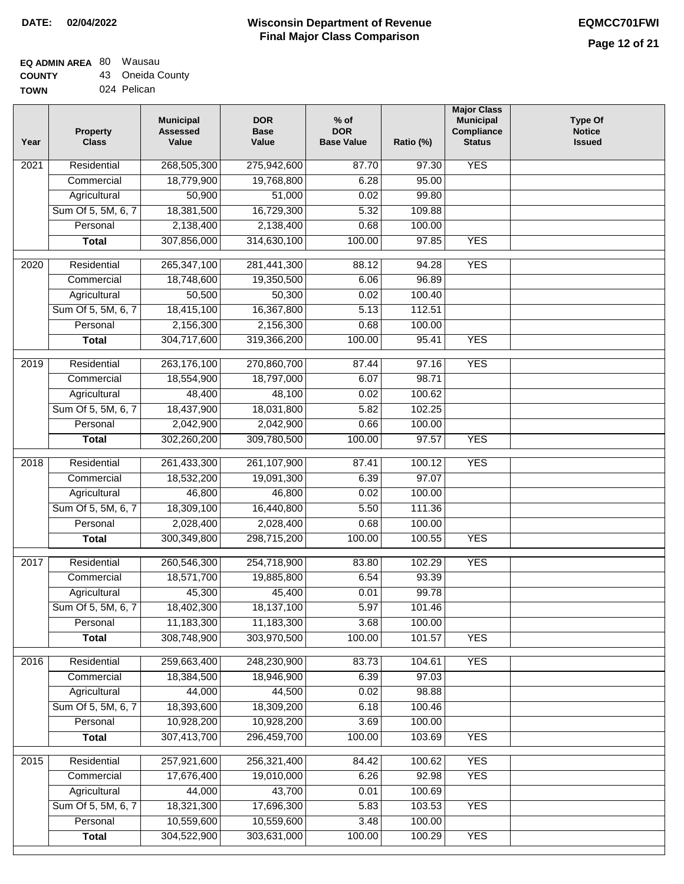## **Wisconsin Department of Revenue DATE: 02/04/2022 EQMCC701FWI Final Major Class Comparison**

#### **EQ ADMIN AREA COUNTY**  $\overline{1}$ Wausau

| <b>COUNTY</b> | 43 Oneida County |
|---------------|------------------|
| <b>TOWN</b>   | 024 Pelican      |

**Personal Total**

 10,559,600 304,522,900

 10,559,600 303,631,000

 3.48 100.00  100.00 100.29

YES

| Year              | Property<br><b>Class</b> | <b>Municipal</b><br><b>Assessed</b><br>Value | <b>DOR</b><br><b>Base</b><br>Value | $%$ of<br><b>DOR</b><br><b>Base Value</b> | Ratio (%) | <b>Major Class</b><br><b>Municipal</b><br>Compliance<br><b>Status</b> | <b>Type Of</b><br><b>Notice</b><br><b>Issued</b> |
|-------------------|--------------------------|----------------------------------------------|------------------------------------|-------------------------------------------|-----------|-----------------------------------------------------------------------|--------------------------------------------------|
| $\overline{202}1$ | Residential              | 268,505,300                                  | 275,942,600                        | 87.70                                     | 97.30     | <b>YES</b>                                                            |                                                  |
|                   | Commercial               | 18,779,900                                   | 19,768,800                         | 6.28                                      | 95.00     |                                                                       |                                                  |
|                   | Agricultural             | 50,900                                       | 51,000                             | 0.02                                      | 99.80     |                                                                       |                                                  |
|                   | Sum Of 5, 5M, 6, 7       | 18,381,500                                   | 16,729,300                         | 5.32                                      | 109.88    |                                                                       |                                                  |
|                   | Personal                 | 2,138,400                                    | 2,138,400                          | 0.68                                      | 100.00    |                                                                       |                                                  |
|                   | <b>Total</b>             | 307,856,000                                  | 314,630,100                        | 100.00                                    | 97.85     | <b>YES</b>                                                            |                                                  |
| 2020              | Residential              | 265,347,100                                  | 281,441,300                        | 88.12                                     | 94.28     | <b>YES</b>                                                            |                                                  |
|                   | Commercial               | 18,748,600                                   | 19,350,500                         | 6.06                                      | 96.89     |                                                                       |                                                  |
|                   | Agricultural             | 50,500                                       | 50,300                             | 0.02                                      | 100.40    |                                                                       |                                                  |
|                   | Sum Of 5, 5M, 6, 7       | 18,415,100                                   | 16,367,800                         | 5.13                                      | 112.51    |                                                                       |                                                  |
|                   | Personal                 | 2,156,300                                    | 2,156,300                          | 0.68                                      | 100.00    |                                                                       |                                                  |
|                   | <b>Total</b>             | 304,717,600                                  | 319,366,200                        | 100.00                                    | 95.41     | <b>YES</b>                                                            |                                                  |
| 2019              | Residential              | 263,176,100                                  | 270,860,700                        | 87.44                                     | 97.16     | <b>YES</b>                                                            |                                                  |
|                   | Commercial               | 18,554,900                                   | 18,797,000                         | 6.07                                      | 98.71     |                                                                       |                                                  |
|                   | Agricultural             | 48,400                                       | 48,100                             | 0.02                                      | 100.62    |                                                                       |                                                  |
|                   | Sum Of 5, 5M, 6, 7       | 18,437,900                                   | 18,031,800                         | 5.82                                      | 102.25    |                                                                       |                                                  |
|                   | Personal                 | 2,042,900                                    | 2,042,900                          | 0.66                                      | 100.00    |                                                                       |                                                  |
|                   | <b>Total</b>             | 302,260,200                                  | 309,780,500                        | 100.00                                    | 97.57     | <b>YES</b>                                                            |                                                  |
| $\overline{2018}$ | Residential              | 261,433,300                                  | 261, 107, 900                      | 87.41                                     | 100.12    | <b>YES</b>                                                            |                                                  |
|                   | Commercial               | 18,532,200                                   | 19,091,300                         | 6.39                                      | 97.07     |                                                                       |                                                  |
|                   | Agricultural             | 46,800                                       | 46,800                             | 0.02                                      | 100.00    |                                                                       |                                                  |
|                   | Sum Of 5, 5M, 6, 7       | 18,309,100                                   | 16,440,800                         | 5.50                                      | 111.36    |                                                                       |                                                  |
|                   | Personal                 | 2,028,400                                    | 2,028,400                          | 0.68                                      | 100.00    |                                                                       |                                                  |
|                   | <b>Total</b>             | 300,349,800                                  | 298,715,200                        | 100.00                                    | 100.55    | <b>YES</b>                                                            |                                                  |
| 2017              | Residential              | 260,546,300                                  | 254,718,900                        | 83.80                                     | 102.29    | <b>YES</b>                                                            |                                                  |
|                   | Commercial               | 18,571,700                                   | 19,885,800                         | 6.54                                      | 93.39     |                                                                       |                                                  |
|                   | Agricultural             | 45,300                                       | 45,400                             | 0.01                                      | 99.78     |                                                                       |                                                  |
|                   | Sum Of 5, 5M, 6, 7       | 18,402,300                                   | 18,137,100                         | 5.97                                      | 101.46    |                                                                       |                                                  |
|                   | Personal                 | 11,183,300                                   | 11,183,300                         | 3.68                                      | 100.00    |                                                                       |                                                  |
|                   | <b>Total</b>             | 308,748,900                                  | 303,970,500                        | 100.00                                    | 101.57    | <b>YES</b>                                                            |                                                  |
| 2016              | Residential              | 259,663,400                                  | 248,230,900                        | 83.73                                     | 104.61    | <b>YES</b>                                                            |                                                  |
|                   | Commercial               | 18,384,500                                   | 18,946,900                         | 6.39                                      | 97.03     |                                                                       |                                                  |
|                   | Agricultural             | 44,000                                       | 44,500                             | 0.02                                      | 98.88     |                                                                       |                                                  |
|                   | Sum Of 5, 5M, 6, 7       | 18,393,600                                   | 18,309,200                         | 6.18                                      | 100.46    |                                                                       |                                                  |
|                   | Personal                 | 10,928,200                                   | 10,928,200                         | 3.69                                      | 100.00    |                                                                       |                                                  |
|                   | <b>Total</b>             | 307,413,700                                  | 296,459,700                        | 100.00                                    | 103.69    | <b>YES</b>                                                            |                                                  |
| 2015              | Residential              | 257,921,600                                  | 256,321,400                        | 84.42                                     | 100.62    | <b>YES</b>                                                            |                                                  |
|                   | Commercial               | 17,676,400                                   | 19,010,000                         | 6.26                                      | 92.98     | <b>YES</b>                                                            |                                                  |
|                   | Agricultural             | 44,000                                       | 43,700                             | 0.01                                      | 100.69    |                                                                       |                                                  |
|                   | Sum Of 5, 5M, 6, 7       | 18,321,300                                   | 17,696,300                         | 5.83                                      | 103.53    | <b>YES</b>                                                            |                                                  |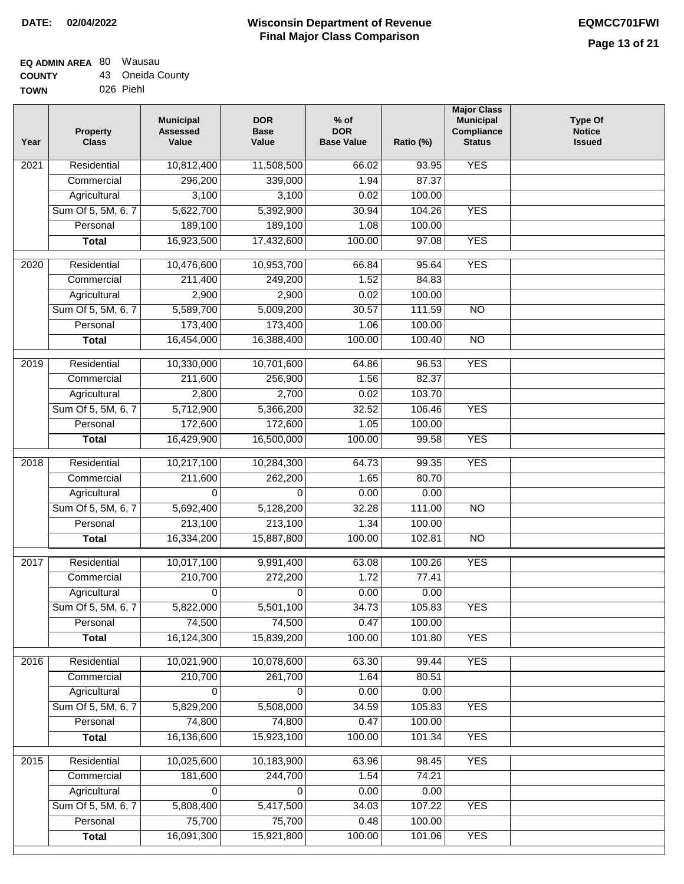## **Wisconsin Department of Revenue Final Major Class Comparison DATE: 02/04/2022 EQMCC701FWI**

٦

### **EQ ADMIN AREA** 80 Wausau **COUNTY** 43 Oneida County

| <b>000011</b> | ---- | -------   |  |
|---------------|------|-----------|--|
| <b>TOWN</b>   |      | 026 Piehl |  |

| Year | <b>Property</b><br><b>Class</b> | <b>Municipal</b><br><b>Assessed</b><br>Value | <b>DOR</b><br><b>Base</b><br>Value | $%$ of<br><b>DOR</b><br><b>Base Value</b> | Ratio (%) | <b>Major Class</b><br><b>Municipal</b><br>Compliance<br><b>Status</b> | <b>Type Of</b><br><b>Notice</b><br><b>Issued</b> |
|------|---------------------------------|----------------------------------------------|------------------------------------|-------------------------------------------|-----------|-----------------------------------------------------------------------|--------------------------------------------------|
| 2021 | Residential                     | 10,812,400                                   | 11,508,500                         | 66.02                                     | 93.95     | <b>YES</b>                                                            |                                                  |
|      | Commercial                      | 296,200                                      | 339,000                            | 1.94                                      | 87.37     |                                                                       |                                                  |
|      | Agricultural                    | 3,100                                        | 3,100                              | 0.02                                      | 100.00    |                                                                       |                                                  |
|      | Sum Of 5, 5M, 6, 7              | 5,622,700                                    | 5,392,900                          | 30.94                                     | 104.26    | <b>YES</b>                                                            |                                                  |
|      | Personal                        | 189,100                                      | 189,100                            | 1.08                                      | 100.00    |                                                                       |                                                  |
|      | <b>Total</b>                    | 16,923,500                                   | 17,432,600                         | 100.00                                    | 97.08     | <b>YES</b>                                                            |                                                  |
| 2020 | Residential                     | 10,476,600                                   | 10,953,700                         | 66.84                                     | 95.64     | <b>YES</b>                                                            |                                                  |
|      | Commercial                      | 211,400                                      | 249,200                            | 1.52                                      | 84.83     |                                                                       |                                                  |
|      | Agricultural                    | 2,900                                        | 2,900                              | 0.02                                      | 100.00    |                                                                       |                                                  |
|      | Sum Of 5, 5M, 6, 7              | 5,589,700                                    | 5,009,200                          | 30.57                                     | 111.59    | $\overline{NO}$                                                       |                                                  |
|      | Personal                        | 173,400                                      | 173,400                            | 1.06                                      | 100.00    |                                                                       |                                                  |
|      | <b>Total</b>                    | 16,454,000                                   | 16,388,400                         | 100.00                                    | 100.40    | $\overline{NO}$                                                       |                                                  |
| 2019 | Residential                     | 10,330,000                                   | 10,701,600                         | 64.86                                     | 96.53     | <b>YES</b>                                                            |                                                  |
|      | Commercial                      | 211,600                                      | 256,900                            | 1.56                                      | 82.37     |                                                                       |                                                  |
|      | Agricultural                    | 2,800                                        | 2,700                              | 0.02                                      | 103.70    |                                                                       |                                                  |
|      | Sum Of 5, 5M, 6, 7              | 5,712,900                                    | 5,366,200                          | 32.52                                     | 106.46    | <b>YES</b>                                                            |                                                  |
|      | Personal                        | 172,600                                      | 172,600                            | 1.05                                      | 100.00    |                                                                       |                                                  |
|      | <b>Total</b>                    | 16,429,900                                   | 16,500,000                         | 100.00                                    | 99.58     | <b>YES</b>                                                            |                                                  |
| 2018 | Residential                     | 10,217,100                                   | 10,284,300                         | 64.73                                     | 99.35     | <b>YES</b>                                                            |                                                  |
|      | Commercial                      | 211,600                                      | 262,200                            | 1.65                                      | 80.70     |                                                                       |                                                  |
|      | Agricultural                    | 0                                            | $\Omega$                           | 0.00                                      | 0.00      |                                                                       |                                                  |
|      | Sum Of 5, 5M, 6, 7              | 5,692,400                                    | 5,128,200                          | 32.28                                     | 111.00    | <b>NO</b>                                                             |                                                  |
|      | Personal                        | 213,100                                      | 213,100                            | 1.34                                      | 100.00    |                                                                       |                                                  |
|      | <b>Total</b>                    | 16,334,200                                   | 15,887,800                         | 100.00                                    | 102.81    | <b>NO</b>                                                             |                                                  |
| 2017 | Residential                     | 10,017,100                                   | 9,991,400                          | 63.08                                     | 100.26    | <b>YES</b>                                                            |                                                  |
|      | Commercial                      | 210,700                                      | 272,200                            | 1.72                                      | 77.41     |                                                                       |                                                  |
|      | Agricultural                    | 0                                            | 0                                  | 0.00                                      | 0.00      |                                                                       |                                                  |
|      | Sum Of 5, 5M, 6, 7              | 5,822,000                                    | 5,501,100                          | 34.73                                     | 105.83    | <b>YES</b>                                                            |                                                  |
|      | Personal                        | 74,500                                       | 74,500                             | 0.47                                      | 100.00    |                                                                       |                                                  |
|      | <b>Total</b>                    | 16,124,300                                   | 15,839,200                         | 100.00                                    | 101.80    | <b>YES</b>                                                            |                                                  |
| 2016 | Residential                     | 10,021,900                                   | 10,078,600                         | 63.30                                     | 99.44     | <b>YES</b>                                                            |                                                  |
|      | Commercial                      | 210,700                                      | 261,700                            | 1.64                                      | 80.51     |                                                                       |                                                  |
|      | Agricultural                    | 0                                            | 0                                  | 0.00                                      | 0.00      |                                                                       |                                                  |
|      | Sum Of 5, 5M, 6, 7              | 5,829,200                                    | 5,508,000                          | 34.59                                     | 105.83    | <b>YES</b>                                                            |                                                  |
|      | Personal                        | 74,800                                       | 74,800                             | 0.47                                      | 100.00    |                                                                       |                                                  |
|      | <b>Total</b>                    | 16,136,600                                   | 15,923,100                         | 100.00                                    | 101.34    | <b>YES</b>                                                            |                                                  |
| 2015 | Residential                     | 10,025,600                                   | 10,183,900                         | 63.96                                     | 98.45     | <b>YES</b>                                                            |                                                  |
|      | Commercial                      | 181,600                                      | 244,700                            | 1.54                                      | 74.21     |                                                                       |                                                  |
|      | Agricultural                    | 0                                            | 0                                  | 0.00                                      | 0.00      |                                                                       |                                                  |
|      | Sum Of 5, 5M, 6, 7              | 5,808,400                                    | 5,417,500                          | 34.03                                     | 107.22    | <b>YES</b>                                                            |                                                  |
|      | Personal                        | 75,700                                       | 75,700                             | 0.48                                      | 100.00    |                                                                       |                                                  |
|      | <b>Total</b>                    | 16,091,300                                   | 15,921,800                         | 100.00                                    | 101.06    | <b>YES</b>                                                            |                                                  |
|      |                                 |                                              |                                    |                                           |           |                                                                       |                                                  |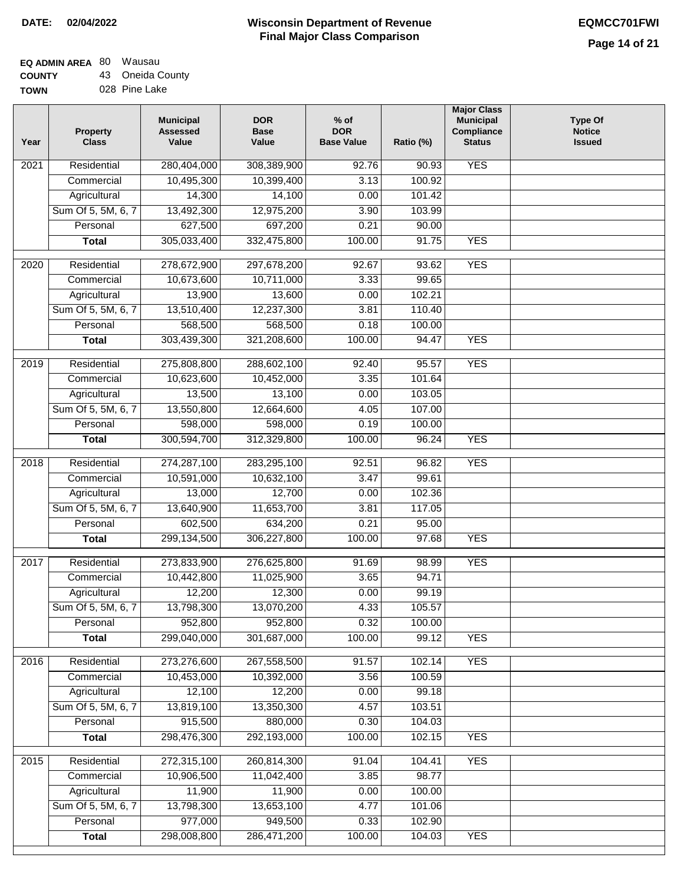# **EQ ADMIN AREA** 80 Wausau

**COUNTY TOWN** 43 Oneida County 028 Pine Lake

| Year | Property<br><b>Class</b> | <b>Municipal</b><br><b>Assessed</b><br>Value | <b>DOR</b><br><b>Base</b><br>Value | $%$ of<br><b>DOR</b><br><b>Base Value</b> | Ratio (%) | <b>Major Class</b><br><b>Municipal</b><br>Compliance<br><b>Status</b> | <b>Type Of</b><br><b>Notice</b><br><b>Issued</b> |
|------|--------------------------|----------------------------------------------|------------------------------------|-------------------------------------------|-----------|-----------------------------------------------------------------------|--------------------------------------------------|
| 2021 | Residential              | 280,404,000                                  | 308,389,900                        | 92.76                                     | 90.93     | <b>YES</b>                                                            |                                                  |
|      | Commercial               | 10,495,300                                   | 10,399,400                         | 3.13                                      | 100.92    |                                                                       |                                                  |
|      | Agricultural             | 14,300                                       | 14,100                             | 0.00                                      | 101.42    |                                                                       |                                                  |
|      | Sum Of 5, 5M, 6, 7       | 13,492,300                                   | 12,975,200                         | 3.90                                      | 103.99    |                                                                       |                                                  |
|      | Personal                 | 627,500                                      | 697,200                            | 0.21                                      | 90.00     |                                                                       |                                                  |
|      | <b>Total</b>             | 305,033,400                                  | 332,475,800                        | 100.00                                    | 91.75     | <b>YES</b>                                                            |                                                  |
| 2020 | Residential              | 278,672,900                                  | 297,678,200                        | 92.67                                     | 93.62     | <b>YES</b>                                                            |                                                  |
|      | Commercial               | 10,673,600                                   | 10,711,000                         | 3.33                                      | 99.65     |                                                                       |                                                  |
|      | Agricultural             | 13,900                                       | 13,600                             | 0.00                                      | 102.21    |                                                                       |                                                  |
|      | Sum Of 5, 5M, 6, 7       | 13,510,400                                   | 12,237,300                         | 3.81                                      | 110.40    |                                                                       |                                                  |
|      | Personal                 | 568,500                                      | 568,500                            | 0.18                                      | 100.00    |                                                                       |                                                  |
|      | <b>Total</b>             | 303,439,300                                  | 321,208,600                        | 100.00                                    | 94.47     | <b>YES</b>                                                            |                                                  |
|      |                          |                                              |                                    |                                           |           |                                                                       |                                                  |
| 2019 | Residential              | 275,808,800                                  | 288,602,100                        | 92.40                                     | 95.57     | <b>YES</b>                                                            |                                                  |
|      | Commercial               | 10,623,600                                   | 10,452,000                         | 3.35                                      | 101.64    |                                                                       |                                                  |
|      | Agricultural             | 13,500                                       | 13,100                             | 0.00                                      | 103.05    |                                                                       |                                                  |
|      | Sum Of 5, 5M, 6, 7       | 13,550,800                                   | 12,664,600                         | 4.05                                      | 107.00    |                                                                       |                                                  |
|      | Personal                 | 598,000                                      | 598,000                            | 0.19                                      | 100.00    |                                                                       |                                                  |
|      | <b>Total</b>             | 300,594,700                                  | 312,329,800                        | 100.00                                    | 96.24     | <b>YES</b>                                                            |                                                  |
| 2018 | Residential              | 274,287,100                                  | 283,295,100                        | 92.51                                     | 96.82     | <b>YES</b>                                                            |                                                  |
|      | Commercial               | 10,591,000                                   | 10,632,100                         | 3.47                                      | 99.61     |                                                                       |                                                  |
|      | Agricultural             | 13,000                                       | 12,700                             | 0.00                                      | 102.36    |                                                                       |                                                  |
|      | Sum Of 5, 5M, 6, 7       | 13,640,900                                   | 11,653,700                         | 3.81                                      | 117.05    |                                                                       |                                                  |
|      | Personal                 | 602,500                                      | 634,200                            | 0.21                                      | 95.00     |                                                                       |                                                  |
|      | <b>Total</b>             | 299,134,500                                  | 306,227,800                        | 100.00                                    | 97.68     | <b>YES</b>                                                            |                                                  |
| 2017 | Residential              | 273,833,900                                  | 276,625,800                        | 91.69                                     | 98.99     | <b>YES</b>                                                            |                                                  |
|      | Commercial               | 10,442,800                                   | 11,025,900                         | 3.65                                      | 94.71     |                                                                       |                                                  |
|      | Agricultural             | 12,200                                       | 12,300                             | 0.00                                      | 99.19     |                                                                       |                                                  |
|      | Sum Of 5, 5M, 6, 7       | 13,798,300                                   | 13,070,200                         | 4.33                                      | 105.57    |                                                                       |                                                  |
|      | Personal                 | 952,800                                      | 952,800                            | 0.32                                      | 100.00    |                                                                       |                                                  |
|      | <b>Total</b>             | 299,040,000                                  | 301,687,000                        | 100.00                                    | 99.12     | <b>YES</b>                                                            |                                                  |
| 2016 | Residential              | 273,276,600                                  | 267,558,500                        | 91.57                                     | 102.14    | <b>YES</b>                                                            |                                                  |
|      | Commercial               | 10,453,000                                   | 10,392,000                         | 3.56                                      | 100.59    |                                                                       |                                                  |
|      | Agricultural             | 12,100                                       | 12,200                             | 0.00                                      | 99.18     |                                                                       |                                                  |
|      | Sum Of 5, 5M, 6, 7       | 13,819,100                                   | 13,350,300                         | 4.57                                      | 103.51    |                                                                       |                                                  |
|      | Personal                 | 915,500                                      | 880,000                            | 0.30                                      | 104.03    |                                                                       |                                                  |
|      | <b>Total</b>             | 298,476,300                                  | 292,193,000                        | 100.00                                    | 102.15    | <b>YES</b>                                                            |                                                  |
| 2015 | Residential              | 272,315,100                                  | 260,814,300                        | 91.04                                     | 104.41    | <b>YES</b>                                                            |                                                  |
|      | Commercial               | 10,906,500                                   | 11,042,400                         | 3.85                                      | 98.77     |                                                                       |                                                  |
|      | Agricultural             | 11,900                                       | 11,900                             | 0.00                                      | 100.00    |                                                                       |                                                  |
|      | Sum Of 5, 5M, 6, 7       | 13,798,300                                   | 13,653,100                         | 4.77                                      | 101.06    |                                                                       |                                                  |
|      | Personal                 | 977,000                                      | 949,500                            | 0.33                                      | 102.90    |                                                                       |                                                  |
|      | <b>Total</b>             | 298,008,800                                  | 286,471,200                        | 100.00                                    | 104.03    | <b>YES</b>                                                            |                                                  |
|      |                          |                                              |                                    |                                           |           |                                                                       |                                                  |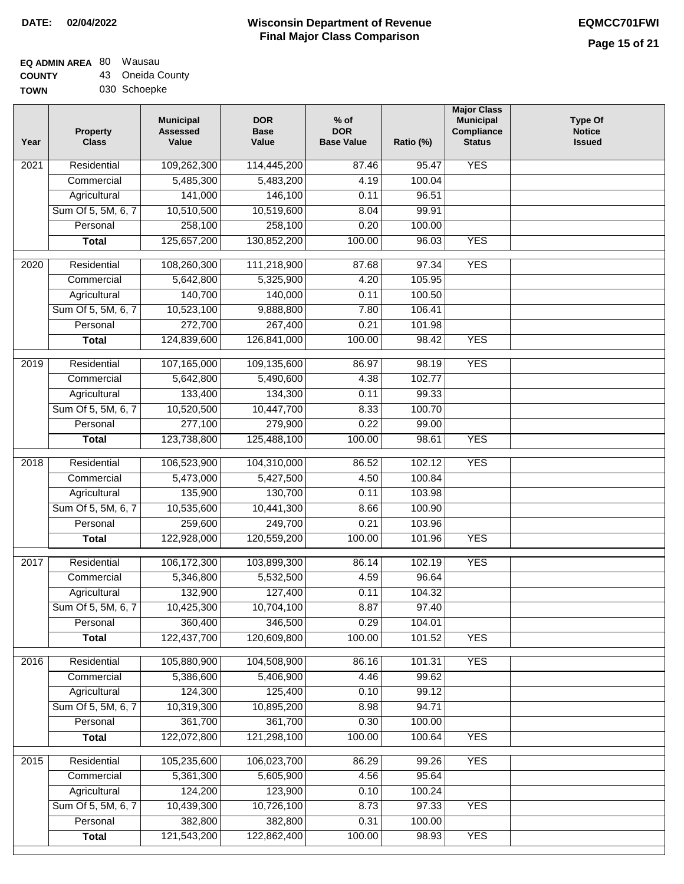## **EQ ADMIN AREA** 80 Wausau **COUNTY** 43 Oneida County

**TOWN** 030 Schoepke

| <b>YES</b><br>109,262,300<br>2021<br>Residential<br>114,445,200<br>95.47<br>87.46<br>5,485,300<br>4.19<br>Commercial<br>5,483,200<br>100.04<br>141,000<br>Agricultural<br>146,100<br>0.11<br>96.51<br>Sum Of 5, 5M, 6, 7<br>10,510,500<br>10,519,600<br>8.04<br>99.91<br>258,100<br>258,100<br>Personal<br>0.20<br>100.00<br>125,657,200<br>130,852,200<br>100.00<br>96.03<br><b>YES</b><br><b>Total</b><br><b>YES</b><br>2020<br>Residential<br>108,260,300<br>111,218,900<br>87.68<br>97.34<br>105.95<br>5,642,800<br>5,325,900<br>4.20<br>Commercial<br>140,700<br>140,000<br>0.11<br>100.50<br>Agricultural<br>Sum Of 5, 5M, 6, 7<br>10,523,100<br>9,888,800<br>106.41<br>7.80<br>272,700<br>267,400<br>0.21<br>Personal<br>101.98<br>124,839,600<br>126,841,000<br><b>YES</b><br>100.00<br>98.42<br><b>Total</b><br>107,165,000<br><b>YES</b><br>2019<br>Residential<br>109,135,600<br>86.97<br>98.19<br>5,642,800<br>102.77<br>Commercial<br>5,490,600<br>4.38<br>133,400<br>134,300<br>0.11<br>99.33<br>Agricultural<br>Sum Of 5, 5M, 6, 7<br>10,520,500<br>10,447,700<br>8.33<br>100.70<br>277,100<br>Personal<br>279,900<br>0.22<br>99.00<br>123,738,800<br>100.00<br><b>YES</b><br>125,488,100<br>98.61<br><b>Total</b><br>Residential<br>106,523,900<br>104,310,000<br>102.12<br><b>YES</b><br>2018<br>86.52<br>Commercial<br>5,473,000<br>5,427,500<br>4.50<br>100.84<br>135,900<br>130,700<br>103.98<br>Agricultural<br>0.11<br>Sum Of 5, 5M, 6, 7<br>10,535,600<br>10,441,300<br>100.90<br>8.66<br>Personal<br>259,600<br>249,700<br>0.21<br>103.96<br>122,928,000<br>120,559,200<br>100.00<br>101.96<br><b>YES</b><br><b>Total</b><br>2017<br>Residential<br>106,172,300<br>103,899,300<br><b>YES</b><br>86.14<br>102.19<br>5,346,800<br>5,532,500<br>4.59<br>96.64<br>Commercial<br>132,900<br>127,400<br>0.11<br>104.32<br>Agricultural<br>10,425,300<br>Sum Of 5, 5M, 6, 7<br>10,704,100<br>8.87<br>97.40<br>360,400<br>0.29<br>346,500<br>104.01<br>Personal<br>122,437,700<br>120,609,800<br>100.00<br>101.52<br><b>YES</b><br><b>Total</b><br><b>YES</b><br>Residential<br>105,880,900<br>104,508,900<br>2016<br>86.16<br>101.31<br>5,386,600<br>4.46<br>99.62<br>Commercial<br>5,406,900<br>124,300<br>125,400<br>0.10<br>99.12<br>Agricultural<br>Sum Of 5, 5M, 6, 7<br>10,319,300<br>10,895,200<br>8.98<br>94.71<br>361,700<br>361,700<br>0.30<br>100.00<br>Personal<br>122,072,800<br>121,298,100<br>100.00<br>100.64<br><b>YES</b><br><b>Total</b><br><b>YES</b><br>Residential<br>105,235,600<br>106,023,700<br>86.29<br>99.26<br>2015<br>5,361,300<br>5,605,900<br>4.56<br>95.64<br>Commercial<br>124,200<br>123,900<br>0.10<br>100.24<br>Agricultural<br>Sum Of 5, 5M, 6, 7<br>10,439,300<br>10,726,100<br>8.73<br>97.33<br><b>YES</b><br>382,800<br>382,800<br>Personal<br>0.31<br>100.00<br>121,543,200<br>122,862,400<br>100.00<br>98.93<br><b>Total</b><br><b>YES</b> | Year | <b>Property</b><br><b>Class</b> | <b>Municipal</b><br><b>Assessed</b><br>Value | <b>DOR</b><br><b>Base</b><br>Value | $%$ of<br><b>DOR</b><br><b>Base Value</b> | Ratio (%) | <b>Major Class</b><br><b>Municipal</b><br>Compliance<br><b>Status</b> | <b>Type Of</b><br><b>Notice</b><br><b>Issued</b> |
|--------------------------------------------------------------------------------------------------------------------------------------------------------------------------------------------------------------------------------------------------------------------------------------------------------------------------------------------------------------------------------------------------------------------------------------------------------------------------------------------------------------------------------------------------------------------------------------------------------------------------------------------------------------------------------------------------------------------------------------------------------------------------------------------------------------------------------------------------------------------------------------------------------------------------------------------------------------------------------------------------------------------------------------------------------------------------------------------------------------------------------------------------------------------------------------------------------------------------------------------------------------------------------------------------------------------------------------------------------------------------------------------------------------------------------------------------------------------------------------------------------------------------------------------------------------------------------------------------------------------------------------------------------------------------------------------------------------------------------------------------------------------------------------------------------------------------------------------------------------------------------------------------------------------------------------------------------------------------------------------------------------------------------------------------------------------------------------------------------------------------------------------------------------------------------------------------------------------------------------------------------------------------------------------------------------------------------------------------------------------------------------------------------------------------------------------------------------------------------------------------------------------------------------------------------------------------------------------------------------------------------------------------------------------------------------------------------------------------------------------------------------------------------------------------------------------------------------------------------------------------------------------------------|------|---------------------------------|----------------------------------------------|------------------------------------|-------------------------------------------|-----------|-----------------------------------------------------------------------|--------------------------------------------------|
|                                                                                                                                                                                                                                                                                                                                                                                                                                                                                                                                                                                                                                                                                                                                                                                                                                                                                                                                                                                                                                                                                                                                                                                                                                                                                                                                                                                                                                                                                                                                                                                                                                                                                                                                                                                                                                                                                                                                                                                                                                                                                                                                                                                                                                                                                                                                                                                                                                                                                                                                                                                                                                                                                                                                                                                                                                                                                                        |      |                                 |                                              |                                    |                                           |           |                                                                       |                                                  |
|                                                                                                                                                                                                                                                                                                                                                                                                                                                                                                                                                                                                                                                                                                                                                                                                                                                                                                                                                                                                                                                                                                                                                                                                                                                                                                                                                                                                                                                                                                                                                                                                                                                                                                                                                                                                                                                                                                                                                                                                                                                                                                                                                                                                                                                                                                                                                                                                                                                                                                                                                                                                                                                                                                                                                                                                                                                                                                        |      |                                 |                                              |                                    |                                           |           |                                                                       |                                                  |
|                                                                                                                                                                                                                                                                                                                                                                                                                                                                                                                                                                                                                                                                                                                                                                                                                                                                                                                                                                                                                                                                                                                                                                                                                                                                                                                                                                                                                                                                                                                                                                                                                                                                                                                                                                                                                                                                                                                                                                                                                                                                                                                                                                                                                                                                                                                                                                                                                                                                                                                                                                                                                                                                                                                                                                                                                                                                                                        |      |                                 |                                              |                                    |                                           |           |                                                                       |                                                  |
|                                                                                                                                                                                                                                                                                                                                                                                                                                                                                                                                                                                                                                                                                                                                                                                                                                                                                                                                                                                                                                                                                                                                                                                                                                                                                                                                                                                                                                                                                                                                                                                                                                                                                                                                                                                                                                                                                                                                                                                                                                                                                                                                                                                                                                                                                                                                                                                                                                                                                                                                                                                                                                                                                                                                                                                                                                                                                                        |      |                                 |                                              |                                    |                                           |           |                                                                       |                                                  |
|                                                                                                                                                                                                                                                                                                                                                                                                                                                                                                                                                                                                                                                                                                                                                                                                                                                                                                                                                                                                                                                                                                                                                                                                                                                                                                                                                                                                                                                                                                                                                                                                                                                                                                                                                                                                                                                                                                                                                                                                                                                                                                                                                                                                                                                                                                                                                                                                                                                                                                                                                                                                                                                                                                                                                                                                                                                                                                        |      |                                 |                                              |                                    |                                           |           |                                                                       |                                                  |
|                                                                                                                                                                                                                                                                                                                                                                                                                                                                                                                                                                                                                                                                                                                                                                                                                                                                                                                                                                                                                                                                                                                                                                                                                                                                                                                                                                                                                                                                                                                                                                                                                                                                                                                                                                                                                                                                                                                                                                                                                                                                                                                                                                                                                                                                                                                                                                                                                                                                                                                                                                                                                                                                                                                                                                                                                                                                                                        |      |                                 |                                              |                                    |                                           |           |                                                                       |                                                  |
|                                                                                                                                                                                                                                                                                                                                                                                                                                                                                                                                                                                                                                                                                                                                                                                                                                                                                                                                                                                                                                                                                                                                                                                                                                                                                                                                                                                                                                                                                                                                                                                                                                                                                                                                                                                                                                                                                                                                                                                                                                                                                                                                                                                                                                                                                                                                                                                                                                                                                                                                                                                                                                                                                                                                                                                                                                                                                                        |      |                                 |                                              |                                    |                                           |           |                                                                       |                                                  |
|                                                                                                                                                                                                                                                                                                                                                                                                                                                                                                                                                                                                                                                                                                                                                                                                                                                                                                                                                                                                                                                                                                                                                                                                                                                                                                                                                                                                                                                                                                                                                                                                                                                                                                                                                                                                                                                                                                                                                                                                                                                                                                                                                                                                                                                                                                                                                                                                                                                                                                                                                                                                                                                                                                                                                                                                                                                                                                        |      |                                 |                                              |                                    |                                           |           |                                                                       |                                                  |
|                                                                                                                                                                                                                                                                                                                                                                                                                                                                                                                                                                                                                                                                                                                                                                                                                                                                                                                                                                                                                                                                                                                                                                                                                                                                                                                                                                                                                                                                                                                                                                                                                                                                                                                                                                                                                                                                                                                                                                                                                                                                                                                                                                                                                                                                                                                                                                                                                                                                                                                                                                                                                                                                                                                                                                                                                                                                                                        |      |                                 |                                              |                                    |                                           |           |                                                                       |                                                  |
|                                                                                                                                                                                                                                                                                                                                                                                                                                                                                                                                                                                                                                                                                                                                                                                                                                                                                                                                                                                                                                                                                                                                                                                                                                                                                                                                                                                                                                                                                                                                                                                                                                                                                                                                                                                                                                                                                                                                                                                                                                                                                                                                                                                                                                                                                                                                                                                                                                                                                                                                                                                                                                                                                                                                                                                                                                                                                                        |      |                                 |                                              |                                    |                                           |           |                                                                       |                                                  |
|                                                                                                                                                                                                                                                                                                                                                                                                                                                                                                                                                                                                                                                                                                                                                                                                                                                                                                                                                                                                                                                                                                                                                                                                                                                                                                                                                                                                                                                                                                                                                                                                                                                                                                                                                                                                                                                                                                                                                                                                                                                                                                                                                                                                                                                                                                                                                                                                                                                                                                                                                                                                                                                                                                                                                                                                                                                                                                        |      |                                 |                                              |                                    |                                           |           |                                                                       |                                                  |
|                                                                                                                                                                                                                                                                                                                                                                                                                                                                                                                                                                                                                                                                                                                                                                                                                                                                                                                                                                                                                                                                                                                                                                                                                                                                                                                                                                                                                                                                                                                                                                                                                                                                                                                                                                                                                                                                                                                                                                                                                                                                                                                                                                                                                                                                                                                                                                                                                                                                                                                                                                                                                                                                                                                                                                                                                                                                                                        |      |                                 |                                              |                                    |                                           |           |                                                                       |                                                  |
|                                                                                                                                                                                                                                                                                                                                                                                                                                                                                                                                                                                                                                                                                                                                                                                                                                                                                                                                                                                                                                                                                                                                                                                                                                                                                                                                                                                                                                                                                                                                                                                                                                                                                                                                                                                                                                                                                                                                                                                                                                                                                                                                                                                                                                                                                                                                                                                                                                                                                                                                                                                                                                                                                                                                                                                                                                                                                                        |      |                                 |                                              |                                    |                                           |           |                                                                       |                                                  |
|                                                                                                                                                                                                                                                                                                                                                                                                                                                                                                                                                                                                                                                                                                                                                                                                                                                                                                                                                                                                                                                                                                                                                                                                                                                                                                                                                                                                                                                                                                                                                                                                                                                                                                                                                                                                                                                                                                                                                                                                                                                                                                                                                                                                                                                                                                                                                                                                                                                                                                                                                                                                                                                                                                                                                                                                                                                                                                        |      |                                 |                                              |                                    |                                           |           |                                                                       |                                                  |
|                                                                                                                                                                                                                                                                                                                                                                                                                                                                                                                                                                                                                                                                                                                                                                                                                                                                                                                                                                                                                                                                                                                                                                                                                                                                                                                                                                                                                                                                                                                                                                                                                                                                                                                                                                                                                                                                                                                                                                                                                                                                                                                                                                                                                                                                                                                                                                                                                                                                                                                                                                                                                                                                                                                                                                                                                                                                                                        |      |                                 |                                              |                                    |                                           |           |                                                                       |                                                  |
|                                                                                                                                                                                                                                                                                                                                                                                                                                                                                                                                                                                                                                                                                                                                                                                                                                                                                                                                                                                                                                                                                                                                                                                                                                                                                                                                                                                                                                                                                                                                                                                                                                                                                                                                                                                                                                                                                                                                                                                                                                                                                                                                                                                                                                                                                                                                                                                                                                                                                                                                                                                                                                                                                                                                                                                                                                                                                                        |      |                                 |                                              |                                    |                                           |           |                                                                       |                                                  |
|                                                                                                                                                                                                                                                                                                                                                                                                                                                                                                                                                                                                                                                                                                                                                                                                                                                                                                                                                                                                                                                                                                                                                                                                                                                                                                                                                                                                                                                                                                                                                                                                                                                                                                                                                                                                                                                                                                                                                                                                                                                                                                                                                                                                                                                                                                                                                                                                                                                                                                                                                                                                                                                                                                                                                                                                                                                                                                        |      |                                 |                                              |                                    |                                           |           |                                                                       |                                                  |
|                                                                                                                                                                                                                                                                                                                                                                                                                                                                                                                                                                                                                                                                                                                                                                                                                                                                                                                                                                                                                                                                                                                                                                                                                                                                                                                                                                                                                                                                                                                                                                                                                                                                                                                                                                                                                                                                                                                                                                                                                                                                                                                                                                                                                                                                                                                                                                                                                                                                                                                                                                                                                                                                                                                                                                                                                                                                                                        |      |                                 |                                              |                                    |                                           |           |                                                                       |                                                  |
|                                                                                                                                                                                                                                                                                                                                                                                                                                                                                                                                                                                                                                                                                                                                                                                                                                                                                                                                                                                                                                                                                                                                                                                                                                                                                                                                                                                                                                                                                                                                                                                                                                                                                                                                                                                                                                                                                                                                                                                                                                                                                                                                                                                                                                                                                                                                                                                                                                                                                                                                                                                                                                                                                                                                                                                                                                                                                                        |      |                                 |                                              |                                    |                                           |           |                                                                       |                                                  |
|                                                                                                                                                                                                                                                                                                                                                                                                                                                                                                                                                                                                                                                                                                                                                                                                                                                                                                                                                                                                                                                                                                                                                                                                                                                                                                                                                                                                                                                                                                                                                                                                                                                                                                                                                                                                                                                                                                                                                                                                                                                                                                                                                                                                                                                                                                                                                                                                                                                                                                                                                                                                                                                                                                                                                                                                                                                                                                        |      |                                 |                                              |                                    |                                           |           |                                                                       |                                                  |
|                                                                                                                                                                                                                                                                                                                                                                                                                                                                                                                                                                                                                                                                                                                                                                                                                                                                                                                                                                                                                                                                                                                                                                                                                                                                                                                                                                                                                                                                                                                                                                                                                                                                                                                                                                                                                                                                                                                                                                                                                                                                                                                                                                                                                                                                                                                                                                                                                                                                                                                                                                                                                                                                                                                                                                                                                                                                                                        |      |                                 |                                              |                                    |                                           |           |                                                                       |                                                  |
|                                                                                                                                                                                                                                                                                                                                                                                                                                                                                                                                                                                                                                                                                                                                                                                                                                                                                                                                                                                                                                                                                                                                                                                                                                                                                                                                                                                                                                                                                                                                                                                                                                                                                                                                                                                                                                                                                                                                                                                                                                                                                                                                                                                                                                                                                                                                                                                                                                                                                                                                                                                                                                                                                                                                                                                                                                                                                                        |      |                                 |                                              |                                    |                                           |           |                                                                       |                                                  |
|                                                                                                                                                                                                                                                                                                                                                                                                                                                                                                                                                                                                                                                                                                                                                                                                                                                                                                                                                                                                                                                                                                                                                                                                                                                                                                                                                                                                                                                                                                                                                                                                                                                                                                                                                                                                                                                                                                                                                                                                                                                                                                                                                                                                                                                                                                                                                                                                                                                                                                                                                                                                                                                                                                                                                                                                                                                                                                        |      |                                 |                                              |                                    |                                           |           |                                                                       |                                                  |
|                                                                                                                                                                                                                                                                                                                                                                                                                                                                                                                                                                                                                                                                                                                                                                                                                                                                                                                                                                                                                                                                                                                                                                                                                                                                                                                                                                                                                                                                                                                                                                                                                                                                                                                                                                                                                                                                                                                                                                                                                                                                                                                                                                                                                                                                                                                                                                                                                                                                                                                                                                                                                                                                                                                                                                                                                                                                                                        |      |                                 |                                              |                                    |                                           |           |                                                                       |                                                  |
|                                                                                                                                                                                                                                                                                                                                                                                                                                                                                                                                                                                                                                                                                                                                                                                                                                                                                                                                                                                                                                                                                                                                                                                                                                                                                                                                                                                                                                                                                                                                                                                                                                                                                                                                                                                                                                                                                                                                                                                                                                                                                                                                                                                                                                                                                                                                                                                                                                                                                                                                                                                                                                                                                                                                                                                                                                                                                                        |      |                                 |                                              |                                    |                                           |           |                                                                       |                                                  |
|                                                                                                                                                                                                                                                                                                                                                                                                                                                                                                                                                                                                                                                                                                                                                                                                                                                                                                                                                                                                                                                                                                                                                                                                                                                                                                                                                                                                                                                                                                                                                                                                                                                                                                                                                                                                                                                                                                                                                                                                                                                                                                                                                                                                                                                                                                                                                                                                                                                                                                                                                                                                                                                                                                                                                                                                                                                                                                        |      |                                 |                                              |                                    |                                           |           |                                                                       |                                                  |
|                                                                                                                                                                                                                                                                                                                                                                                                                                                                                                                                                                                                                                                                                                                                                                                                                                                                                                                                                                                                                                                                                                                                                                                                                                                                                                                                                                                                                                                                                                                                                                                                                                                                                                                                                                                                                                                                                                                                                                                                                                                                                                                                                                                                                                                                                                                                                                                                                                                                                                                                                                                                                                                                                                                                                                                                                                                                                                        |      |                                 |                                              |                                    |                                           |           |                                                                       |                                                  |
|                                                                                                                                                                                                                                                                                                                                                                                                                                                                                                                                                                                                                                                                                                                                                                                                                                                                                                                                                                                                                                                                                                                                                                                                                                                                                                                                                                                                                                                                                                                                                                                                                                                                                                                                                                                                                                                                                                                                                                                                                                                                                                                                                                                                                                                                                                                                                                                                                                                                                                                                                                                                                                                                                                                                                                                                                                                                                                        |      |                                 |                                              |                                    |                                           |           |                                                                       |                                                  |
|                                                                                                                                                                                                                                                                                                                                                                                                                                                                                                                                                                                                                                                                                                                                                                                                                                                                                                                                                                                                                                                                                                                                                                                                                                                                                                                                                                                                                                                                                                                                                                                                                                                                                                                                                                                                                                                                                                                                                                                                                                                                                                                                                                                                                                                                                                                                                                                                                                                                                                                                                                                                                                                                                                                                                                                                                                                                                                        |      |                                 |                                              |                                    |                                           |           |                                                                       |                                                  |
|                                                                                                                                                                                                                                                                                                                                                                                                                                                                                                                                                                                                                                                                                                                                                                                                                                                                                                                                                                                                                                                                                                                                                                                                                                                                                                                                                                                                                                                                                                                                                                                                                                                                                                                                                                                                                                                                                                                                                                                                                                                                                                                                                                                                                                                                                                                                                                                                                                                                                                                                                                                                                                                                                                                                                                                                                                                                                                        |      |                                 |                                              |                                    |                                           |           |                                                                       |                                                  |
|                                                                                                                                                                                                                                                                                                                                                                                                                                                                                                                                                                                                                                                                                                                                                                                                                                                                                                                                                                                                                                                                                                                                                                                                                                                                                                                                                                                                                                                                                                                                                                                                                                                                                                                                                                                                                                                                                                                                                                                                                                                                                                                                                                                                                                                                                                                                                                                                                                                                                                                                                                                                                                                                                                                                                                                                                                                                                                        |      |                                 |                                              |                                    |                                           |           |                                                                       |                                                  |
|                                                                                                                                                                                                                                                                                                                                                                                                                                                                                                                                                                                                                                                                                                                                                                                                                                                                                                                                                                                                                                                                                                                                                                                                                                                                                                                                                                                                                                                                                                                                                                                                                                                                                                                                                                                                                                                                                                                                                                                                                                                                                                                                                                                                                                                                                                                                                                                                                                                                                                                                                                                                                                                                                                                                                                                                                                                                                                        |      |                                 |                                              |                                    |                                           |           |                                                                       |                                                  |
|                                                                                                                                                                                                                                                                                                                                                                                                                                                                                                                                                                                                                                                                                                                                                                                                                                                                                                                                                                                                                                                                                                                                                                                                                                                                                                                                                                                                                                                                                                                                                                                                                                                                                                                                                                                                                                                                                                                                                                                                                                                                                                                                                                                                                                                                                                                                                                                                                                                                                                                                                                                                                                                                                                                                                                                                                                                                                                        |      |                                 |                                              |                                    |                                           |           |                                                                       |                                                  |
|                                                                                                                                                                                                                                                                                                                                                                                                                                                                                                                                                                                                                                                                                                                                                                                                                                                                                                                                                                                                                                                                                                                                                                                                                                                                                                                                                                                                                                                                                                                                                                                                                                                                                                                                                                                                                                                                                                                                                                                                                                                                                                                                                                                                                                                                                                                                                                                                                                                                                                                                                                                                                                                                                                                                                                                                                                                                                                        |      |                                 |                                              |                                    |                                           |           |                                                                       |                                                  |
|                                                                                                                                                                                                                                                                                                                                                                                                                                                                                                                                                                                                                                                                                                                                                                                                                                                                                                                                                                                                                                                                                                                                                                                                                                                                                                                                                                                                                                                                                                                                                                                                                                                                                                                                                                                                                                                                                                                                                                                                                                                                                                                                                                                                                                                                                                                                                                                                                                                                                                                                                                                                                                                                                                                                                                                                                                                                                                        |      |                                 |                                              |                                    |                                           |           |                                                                       |                                                  |
|                                                                                                                                                                                                                                                                                                                                                                                                                                                                                                                                                                                                                                                                                                                                                                                                                                                                                                                                                                                                                                                                                                                                                                                                                                                                                                                                                                                                                                                                                                                                                                                                                                                                                                                                                                                                                                                                                                                                                                                                                                                                                                                                                                                                                                                                                                                                                                                                                                                                                                                                                                                                                                                                                                                                                                                                                                                                                                        |      |                                 |                                              |                                    |                                           |           |                                                                       |                                                  |
|                                                                                                                                                                                                                                                                                                                                                                                                                                                                                                                                                                                                                                                                                                                                                                                                                                                                                                                                                                                                                                                                                                                                                                                                                                                                                                                                                                                                                                                                                                                                                                                                                                                                                                                                                                                                                                                                                                                                                                                                                                                                                                                                                                                                                                                                                                                                                                                                                                                                                                                                                                                                                                                                                                                                                                                                                                                                                                        |      |                                 |                                              |                                    |                                           |           |                                                                       |                                                  |
|                                                                                                                                                                                                                                                                                                                                                                                                                                                                                                                                                                                                                                                                                                                                                                                                                                                                                                                                                                                                                                                                                                                                                                                                                                                                                                                                                                                                                                                                                                                                                                                                                                                                                                                                                                                                                                                                                                                                                                                                                                                                                                                                                                                                                                                                                                                                                                                                                                                                                                                                                                                                                                                                                                                                                                                                                                                                                                        |      |                                 |                                              |                                    |                                           |           |                                                                       |                                                  |
|                                                                                                                                                                                                                                                                                                                                                                                                                                                                                                                                                                                                                                                                                                                                                                                                                                                                                                                                                                                                                                                                                                                                                                                                                                                                                                                                                                                                                                                                                                                                                                                                                                                                                                                                                                                                                                                                                                                                                                                                                                                                                                                                                                                                                                                                                                                                                                                                                                                                                                                                                                                                                                                                                                                                                                                                                                                                                                        |      |                                 |                                              |                                    |                                           |           |                                                                       |                                                  |
|                                                                                                                                                                                                                                                                                                                                                                                                                                                                                                                                                                                                                                                                                                                                                                                                                                                                                                                                                                                                                                                                                                                                                                                                                                                                                                                                                                                                                                                                                                                                                                                                                                                                                                                                                                                                                                                                                                                                                                                                                                                                                                                                                                                                                                                                                                                                                                                                                                                                                                                                                                                                                                                                                                                                                                                                                                                                                                        |      |                                 |                                              |                                    |                                           |           |                                                                       |                                                  |
|                                                                                                                                                                                                                                                                                                                                                                                                                                                                                                                                                                                                                                                                                                                                                                                                                                                                                                                                                                                                                                                                                                                                                                                                                                                                                                                                                                                                                                                                                                                                                                                                                                                                                                                                                                                                                                                                                                                                                                                                                                                                                                                                                                                                                                                                                                                                                                                                                                                                                                                                                                                                                                                                                                                                                                                                                                                                                                        |      |                                 |                                              |                                    |                                           |           |                                                                       |                                                  |
|                                                                                                                                                                                                                                                                                                                                                                                                                                                                                                                                                                                                                                                                                                                                                                                                                                                                                                                                                                                                                                                                                                                                                                                                                                                                                                                                                                                                                                                                                                                                                                                                                                                                                                                                                                                                                                                                                                                                                                                                                                                                                                                                                                                                                                                                                                                                                                                                                                                                                                                                                                                                                                                                                                                                                                                                                                                                                                        |      |                                 |                                              |                                    |                                           |           |                                                                       |                                                  |
|                                                                                                                                                                                                                                                                                                                                                                                                                                                                                                                                                                                                                                                                                                                                                                                                                                                                                                                                                                                                                                                                                                                                                                                                                                                                                                                                                                                                                                                                                                                                                                                                                                                                                                                                                                                                                                                                                                                                                                                                                                                                                                                                                                                                                                                                                                                                                                                                                                                                                                                                                                                                                                                                                                                                                                                                                                                                                                        |      |                                 |                                              |                                    |                                           |           |                                                                       |                                                  |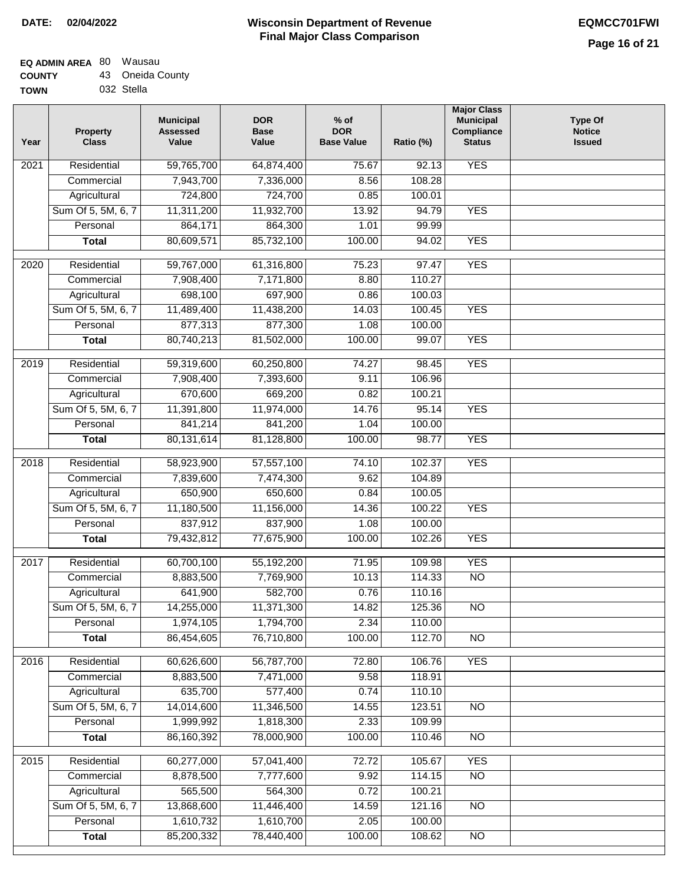## **Wisconsin Department of Revenue Final Major Class Comparison DATE: 02/04/2022 EQMCC701FWI**

### **EQ ADMIN AREA** 80 Wausau **COUNTY** 43 Oneida County

| TOWN | 032 Stella |
|------|------------|
|      |            |

| Year              | <b>Property</b><br><b>Class</b> | <b>Municipal</b><br><b>Assessed</b><br>Value | <b>DOR</b><br><b>Base</b><br>Value | $%$ of<br><b>DOR</b><br><b>Base Value</b> | Ratio (%) | <b>Major Class</b><br><b>Municipal</b><br>Compliance<br><b>Status</b> | <b>Type Of</b><br><b>Notice</b><br><b>Issued</b> |
|-------------------|---------------------------------|----------------------------------------------|------------------------------------|-------------------------------------------|-----------|-----------------------------------------------------------------------|--------------------------------------------------|
| 2021              | Residential                     | 59,765,700                                   | 64,874,400                         | 75.67                                     | 92.13     | <b>YES</b>                                                            |                                                  |
|                   | Commercial                      | 7,943,700                                    | 7,336,000                          | 8.56                                      | 108.28    |                                                                       |                                                  |
|                   | Agricultural                    | 724,800                                      | 724,700                            | 0.85                                      | 100.01    |                                                                       |                                                  |
|                   | Sum Of 5, 5M, 6, 7              | 11,311,200                                   | 11,932,700                         | 13.92                                     | 94.79     | <b>YES</b>                                                            |                                                  |
|                   | Personal                        | 864,171                                      | 864,300                            | 1.01                                      | 99.99     |                                                                       |                                                  |
|                   | <b>Total</b>                    | 80,609,571                                   | 85,732,100                         | 100.00                                    | 94.02     | <b>YES</b>                                                            |                                                  |
| 2020              | Residential                     | 59,767,000                                   | 61,316,800                         | 75.23                                     | 97.47     | <b>YES</b>                                                            |                                                  |
|                   | Commercial                      | 7,908,400                                    | 7,171,800                          | 8.80                                      | 110.27    |                                                                       |                                                  |
|                   | Agricultural                    | 698,100                                      | 697,900                            | 0.86                                      | 100.03    |                                                                       |                                                  |
|                   | Sum Of 5, 5M, 6, 7              | 11,489,400                                   | 11,438,200                         | 14.03                                     | 100.45    | <b>YES</b>                                                            |                                                  |
|                   | Personal                        | 877,313                                      | 877,300                            | 1.08                                      | 100.00    |                                                                       |                                                  |
|                   | <b>Total</b>                    | 80,740,213                                   | 81,502,000                         | 100.00                                    | 99.07     | <b>YES</b>                                                            |                                                  |
|                   |                                 |                                              |                                    |                                           |           |                                                                       |                                                  |
| 2019              | Residential                     | 59,319,600                                   | 60,250,800                         | 74.27                                     | 98.45     | <b>YES</b>                                                            |                                                  |
|                   | Commercial                      | 7,908,400                                    | 7,393,600                          | 9.11                                      | 106.96    |                                                                       |                                                  |
|                   | Agricultural                    | 670,600                                      | 669,200                            | 0.82                                      | 100.21    |                                                                       |                                                  |
|                   | Sum Of 5, 5M, 6, 7              | 11,391,800                                   | 11,974,000                         | 14.76                                     | 95.14     | <b>YES</b>                                                            |                                                  |
|                   | Personal                        | 841,214                                      | 841,200                            | 1.04                                      | 100.00    |                                                                       |                                                  |
|                   | <b>Total</b>                    | 80, 131, 614                                 | 81,128,800                         | 100.00                                    | 98.77     | <b>YES</b>                                                            |                                                  |
| $\overline{2018}$ | Residential                     | 58,923,900                                   | 57,557,100                         | 74.10                                     | 102.37    | <b>YES</b>                                                            |                                                  |
|                   | Commercial                      | 7,839,600                                    | 7,474,300                          | 9.62                                      | 104.89    |                                                                       |                                                  |
|                   | Agricultural                    | 650,900                                      | 650,600                            | 0.84                                      | 100.05    |                                                                       |                                                  |
|                   | Sum Of 5, 5M, 6, 7              | 11,180,500                                   | 11,156,000                         | 14.36                                     | 100.22    | <b>YES</b>                                                            |                                                  |
|                   | Personal                        | 837,912                                      | 837,900                            | 1.08                                      | 100.00    |                                                                       |                                                  |
|                   | <b>Total</b>                    | 79,432,812                                   | 77,675,900                         | 100.00                                    | 102.26    | <b>YES</b>                                                            |                                                  |
| 2017              | Residential                     | 60,700,100                                   | 55,192,200                         | 71.95                                     | 109.98    | <b>YES</b>                                                            |                                                  |
|                   | Commercial                      | 8,883,500                                    | 7,769,900                          | 10.13                                     | 114.33    | N <sub>O</sub>                                                        |                                                  |
|                   | Agricultural                    | 641,900                                      | 582,700                            | 0.76                                      | 110.16    |                                                                       |                                                  |
|                   | Sum Of 5, 5M, 6, 7              | 14,255,000                                   | 11,371,300                         | 14.82                                     | 125.36    | $\overline{NO}$                                                       |                                                  |
|                   | Personal                        | 1,974,105                                    | 1,794,700                          | 2.34                                      | 110.00    |                                                                       |                                                  |
|                   | <b>Total</b>                    | 86,454,605                                   | 76,710,800                         | 100.00                                    | 112.70    | $\overline{N}$                                                        |                                                  |
|                   |                                 |                                              |                                    |                                           |           |                                                                       |                                                  |
| 2016              | Residential                     | 60,626,600                                   | 56,787,700                         | 72.80                                     | 106.76    | <b>YES</b>                                                            |                                                  |
|                   | Commercial                      | 8,883,500                                    | 7,471,000                          | 9.58                                      | 118.91    |                                                                       |                                                  |
|                   | Agricultural                    | 635,700                                      | 577,400                            | 0.74                                      | 110.10    |                                                                       |                                                  |
|                   | Sum Of 5, 5M, 6, 7              | 14,014,600                                   | 11,346,500                         | 14.55                                     | 123.51    | $\overline{NO}$                                                       |                                                  |
|                   | Personal                        | 1,999,992                                    | 1,818,300                          | 2.33                                      | 109.99    |                                                                       |                                                  |
|                   | <b>Total</b>                    | 86,160,392                                   | 78,000,900                         | 100.00                                    | 110.46    | $\overline{NO}$                                                       |                                                  |
| 2015              | Residential                     | 60,277,000                                   | 57,041,400                         | 72.72                                     | 105.67    | <b>YES</b>                                                            |                                                  |
|                   | Commercial                      | 8,878,500                                    | 7,777,600                          | 9.92                                      | 114.15    | $\overline{NO}$                                                       |                                                  |
|                   | Agricultural                    | 565,500                                      | 564,300                            | 0.72                                      | 100.21    |                                                                       |                                                  |
|                   | Sum Of 5, 5M, 6, 7              | 13,868,600                                   | 11,446,400                         | 14.59                                     | 121.16    | $\overline{NO}$                                                       |                                                  |
|                   | Personal                        | 1,610,732                                    | 1,610,700                          | 2.05                                      | 100.00    |                                                                       |                                                  |
|                   | <b>Total</b>                    | 85,200,332                                   | 78,440,400                         | 100.00                                    | 108.62    | $\overline{NO}$                                                       |                                                  |
|                   |                                 |                                              |                                    |                                           |           |                                                                       |                                                  |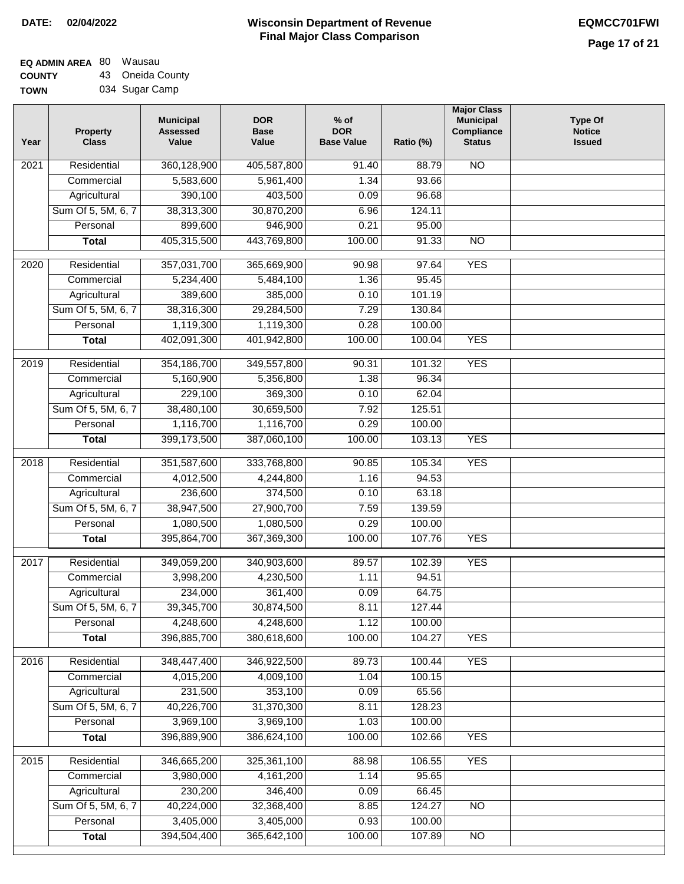### **EQ ADMIN AREA** 80 Wausau **COUNTY** 43 Oneida County

**TOWN** 034 Sugar Camp

| Year | <b>Property</b><br><b>Class</b> | <b>Municipal</b><br><b>Assessed</b><br>Value | <b>DOR</b><br><b>Base</b><br>Value | $%$ of<br><b>DOR</b><br><b>Base Value</b> | Ratio (%) | <b>Major Class</b><br><b>Municipal</b><br>Compliance<br><b>Status</b> | <b>Type Of</b><br><b>Notice</b><br><b>Issued</b> |
|------|---------------------------------|----------------------------------------------|------------------------------------|-------------------------------------------|-----------|-----------------------------------------------------------------------|--------------------------------------------------|
| 2021 | Residential                     | 360,128,900                                  | 405,587,800                        | 91.40                                     | 88.79     | <b>NO</b>                                                             |                                                  |
|      | Commercial                      | 5,583,600                                    | 5,961,400                          | 1.34                                      | 93.66     |                                                                       |                                                  |
|      | Agricultural                    | 390,100                                      | 403,500                            | 0.09                                      | 96.68     |                                                                       |                                                  |
|      | Sum Of 5, 5M, 6, 7              | 38,313,300                                   | 30,870,200                         | 6.96                                      | 124.11    |                                                                       |                                                  |
|      | Personal                        | 899,600                                      | 946,900                            | 0.21                                      | 95.00     |                                                                       |                                                  |
|      | <b>Total</b>                    | 405,315,500                                  | 443,769,800                        | 100.00                                    | 91.33     | $\overline{NO}$                                                       |                                                  |
| 2020 | Residential                     | 357,031,700                                  | 365,669,900                        | 90.98                                     | 97.64     | <b>YES</b>                                                            |                                                  |
|      | Commercial                      | 5,234,400                                    | 5,484,100                          | 1.36                                      | 95.45     |                                                                       |                                                  |
|      | Agricultural                    | 389,600                                      | 385,000                            | 0.10                                      | 101.19    |                                                                       |                                                  |
|      | Sum Of 5, 5M, 6, 7              | 38,316,300                                   | 29,284,500                         | 7.29                                      | 130.84    |                                                                       |                                                  |
|      | Personal                        | 1,119,300                                    | 1,119,300                          | 0.28                                      | 100.00    |                                                                       |                                                  |
|      | <b>Total</b>                    | 402,091,300                                  | 401,942,800                        | 100.00                                    | 100.04    | <b>YES</b>                                                            |                                                  |
|      |                                 |                                              |                                    |                                           |           |                                                                       |                                                  |
| 2019 | Residential                     | 354, 186, 700                                | 349,557,800                        | 90.31                                     | 101.32    | <b>YES</b>                                                            |                                                  |
|      | Commercial                      | 5,160,900                                    | 5,356,800                          | 1.38                                      | 96.34     |                                                                       |                                                  |
|      | Agricultural                    | 229,100                                      | 369,300                            | 0.10                                      | 62.04     |                                                                       |                                                  |
|      | Sum Of 5, 5M, 6, 7              | 38,480,100                                   | 30,659,500                         | 7.92                                      | 125.51    |                                                                       |                                                  |
|      | Personal                        | 1,116,700                                    | 1,116,700                          | 0.29                                      | 100.00    |                                                                       |                                                  |
|      | <b>Total</b>                    | 399,173,500                                  | 387,060,100                        | 100.00                                    | 103.13    | <b>YES</b>                                                            |                                                  |
| 2018 | Residential                     | 351,587,600                                  | 333,768,800                        | 90.85                                     | 105.34    | <b>YES</b>                                                            |                                                  |
|      | Commercial                      | 4,012,500                                    | 4,244,800                          | 1.16                                      | 94.53     |                                                                       |                                                  |
|      | Agricultural                    | 236,600                                      | 374,500                            | 0.10                                      | 63.18     |                                                                       |                                                  |
|      | Sum Of 5, 5M, 6, 7              | 38,947,500                                   | 27,900,700                         | 7.59                                      | 139.59    |                                                                       |                                                  |
|      | Personal                        | 1,080,500                                    | 1,080,500                          | 0.29                                      | 100.00    |                                                                       |                                                  |
|      | <b>Total</b>                    | 395,864,700                                  | 367,369,300                        | 100.00                                    | 107.76    | <b>YES</b>                                                            |                                                  |
| 2017 | Residential                     | 349,059,200                                  | 340,903,600                        | 89.57                                     | 102.39    | <b>YES</b>                                                            |                                                  |
|      | Commercial                      | 3,998,200                                    | 4,230,500                          | 1.11                                      | 94.51     |                                                                       |                                                  |
|      | Agricultural                    | 234,000                                      | 361,400                            | 0.09                                      | 64.75     |                                                                       |                                                  |
|      | Sum Of 5, 5M, 6, 7              | 39,345,700                                   | 30,874,500                         | 8.11                                      | 127.44    |                                                                       |                                                  |
|      | Personal                        | 4,248,600                                    | 4,248,600                          | 1.12                                      | 100.00    |                                                                       |                                                  |
|      | <b>Total</b>                    | 396,885,700                                  | 380,618,600                        | 100.00                                    | 104.27    | <b>YES</b>                                                            |                                                  |
| 2016 | Residential                     | 348,447,400                                  | 346,922,500                        | 89.73                                     | 100.44    | <b>YES</b>                                                            |                                                  |
|      | Commercial                      | 4,015,200                                    | 4,009,100                          | 1.04                                      | 100.15    |                                                                       |                                                  |
|      | Agricultural                    | 231,500                                      | 353,100                            | 0.09                                      | 65.56     |                                                                       |                                                  |
|      | Sum Of 5, 5M, 6, 7              | 40,226,700                                   | 31,370,300                         | 8.11                                      | 128.23    |                                                                       |                                                  |
|      | Personal                        | 3,969,100                                    | 3,969,100                          | 1.03                                      | 100.00    |                                                                       |                                                  |
|      | <b>Total</b>                    | 396,889,900                                  | 386,624,100                        | 100.00                                    | 102.66    | <b>YES</b>                                                            |                                                  |
|      |                                 |                                              |                                    |                                           |           |                                                                       |                                                  |
| 2015 | Residential                     | 346,665,200                                  | 325,361,100                        | 88.98                                     | 106.55    | <b>YES</b>                                                            |                                                  |
|      | Commercial                      | 3,980,000                                    | 4,161,200                          | 1.14                                      | 95.65     |                                                                       |                                                  |
|      | Agricultural                    | 230,200                                      | 346,400                            | 0.09                                      | 66.45     |                                                                       |                                                  |
|      | Sum Of 5, 5M, 6, 7              | 40,224,000                                   | 32,368,400                         | 8.85                                      | 124.27    | <b>NO</b>                                                             |                                                  |
|      | Personal                        | 3,405,000                                    | 3,405,000                          | 0.93                                      | 100.00    |                                                                       |                                                  |
|      | <b>Total</b>                    | 394,504,400                                  | 365,642,100                        | 100.00                                    | 107.89    | N <sub>O</sub>                                                        |                                                  |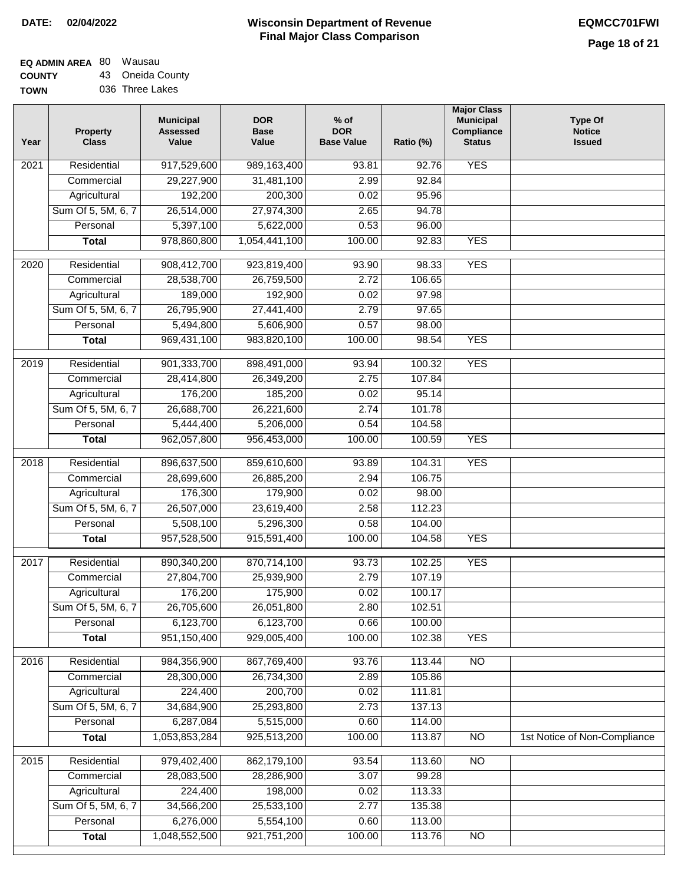## **EQ ADMIN AREA** 80 Wausau **COUNTY** 43 Oneida County

**TOWN** 036 Three Lakes

| Year             | <b>Property</b><br><b>Class</b> | <b>Municipal</b><br><b>Assessed</b><br>Value | <b>DOR</b><br><b>Base</b><br>Value | $%$ of<br><b>DOR</b><br><b>Base Value</b> | Ratio (%) | <b>Major Class</b><br><b>Municipal</b><br>Compliance<br><b>Status</b> | <b>Type Of</b><br><b>Notice</b><br><b>Issued</b> |
|------------------|---------------------------------|----------------------------------------------|------------------------------------|-------------------------------------------|-----------|-----------------------------------------------------------------------|--------------------------------------------------|
| 2021             | Residential                     | 917,529,600                                  | 989,163,400                        | 93.81                                     | 92.76     | <b>YES</b>                                                            |                                                  |
|                  | Commercial                      | 29,227,900                                   | 31,481,100                         | 2.99                                      | 92.84     |                                                                       |                                                  |
|                  | Agricultural                    | 192,200                                      | 200,300                            | 0.02                                      | 95.96     |                                                                       |                                                  |
|                  | Sum Of 5, 5M, 6, 7              | 26,514,000                                   | 27,974,300                         | 2.65                                      | 94.78     |                                                                       |                                                  |
|                  | Personal                        | 5,397,100                                    | 5,622,000                          | 0.53                                      | 96.00     |                                                                       |                                                  |
|                  | <b>Total</b>                    | 978,860,800                                  | 1,054,441,100                      | 100.00                                    | 92.83     | <b>YES</b>                                                            |                                                  |
| $\frac{1}{2020}$ | Residential                     | 908,412,700                                  | 923,819,400                        | 93.90                                     | 98.33     | <b>YES</b>                                                            |                                                  |
|                  | Commercial                      | 28,538,700                                   | 26,759,500                         | 2.72                                      | 106.65    |                                                                       |                                                  |
|                  | Agricultural                    | 189,000                                      | 192,900                            | 0.02                                      | 97.98     |                                                                       |                                                  |
|                  | Sum Of 5, 5M, 6, 7              | 26,795,900                                   | 27,441,400                         | 2.79                                      | 97.65     |                                                                       |                                                  |
|                  | Personal                        | 5,494,800                                    | 5,606,900                          | 0.57                                      | 98.00     |                                                                       |                                                  |
|                  | <b>Total</b>                    | 969,431,100                                  | 983,820,100                        | 100.00                                    | 98.54     | <b>YES</b>                                                            |                                                  |
| $\frac{1}{2019}$ | Residential                     | 901,333,700                                  | 898,491,000                        | 93.94                                     | 100.32    | <b>YES</b>                                                            |                                                  |
|                  | Commercial                      | 28,414,800                                   | 26,349,200                         | 2.75                                      | 107.84    |                                                                       |                                                  |
|                  | Agricultural                    | 176,200                                      | 185,200                            | 0.02                                      | 95.14     |                                                                       |                                                  |
|                  | Sum Of 5, 5M, 6, 7              | 26,688,700                                   | 26,221,600                         | 2.74                                      | 101.78    |                                                                       |                                                  |
|                  | Personal                        | 5,444,400                                    | 5,206,000                          | 0.54                                      | 104.58    |                                                                       |                                                  |
|                  | <b>Total</b>                    | 962,057,800                                  | 956,453,000                        | 100.00                                    | 100.59    | <b>YES</b>                                                            |                                                  |
| 2018             | Residential                     | 896,637,500                                  | 859,610,600                        | 93.89                                     | 104.31    | <b>YES</b>                                                            |                                                  |
|                  | Commercial                      | 28,699,600                                   | 26,885,200                         | 2.94                                      | 106.75    |                                                                       |                                                  |
|                  | Agricultural                    | 176,300                                      | 179,900                            | 0.02                                      | 98.00     |                                                                       |                                                  |
|                  | Sum Of 5, 5M, 6, 7              | 26,507,000                                   | 23,619,400                         | 2.58                                      | 112.23    |                                                                       |                                                  |
|                  | Personal                        | 5,508,100                                    | 5,296,300                          | 0.58                                      | 104.00    |                                                                       |                                                  |
|                  | <b>Total</b>                    | 957,528,500                                  | 915,591,400                        | 100.00                                    | 104.58    | <b>YES</b>                                                            |                                                  |
| 2017             | Residential                     | 890,340,200                                  | 870,714,100                        | 93.73                                     | 102.25    | <b>YES</b>                                                            |                                                  |
|                  | Commercial                      | 27,804,700                                   | 25,939,900                         | 2.79                                      | 107.19    |                                                                       |                                                  |
|                  | Agricultural                    | 176,200                                      | 175,900                            | 0.02                                      | 100.17    |                                                                       |                                                  |
|                  | Sum Of 5, 5M, 6, 7              | 26,705,600                                   | 26,051,800                         | 2.80                                      | 102.51    |                                                                       |                                                  |
|                  | Personal                        | 6,123,700                                    | 6,123,700                          | 0.66                                      | 100.00    |                                                                       |                                                  |
|                  | <b>Total</b>                    | 951,150,400                                  | 929,005,400                        | 100.00                                    | 102.38    | <b>YES</b>                                                            |                                                  |
| 2016             | Residential                     | 984,356,900                                  | 867,769,400                        | 93.76                                     | 113.44    | N <sub>O</sub>                                                        |                                                  |
|                  | Commercial                      | 28,300,000                                   | 26,734,300                         | 2.89                                      | 105.86    |                                                                       |                                                  |
|                  | Agricultural                    | 224,400                                      | 200,700                            | 0.02                                      | 111.81    |                                                                       |                                                  |
|                  | Sum Of 5, 5M, 6, 7              | 34,684,900                                   | 25,293,800                         | 2.73                                      | 137.13    |                                                                       |                                                  |
|                  | Personal                        | 6,287,084                                    | 5,515,000                          | 0.60                                      | 114.00    |                                                                       |                                                  |
|                  | <b>Total</b>                    | 1,053,853,284                                | 925,513,200                        | 100.00                                    | 113.87    | N <sub>O</sub>                                                        | 1st Notice of Non-Compliance                     |
| 2015             | Residential                     | 979,402,400                                  | 862,179,100                        | 93.54                                     | 113.60    | $\overline{NO}$                                                       |                                                  |
|                  | Commercial                      | 28,083,500                                   | 28,286,900                         | 3.07                                      | 99.28     |                                                                       |                                                  |
|                  | Agricultural                    | 224,400                                      | 198,000                            | 0.02                                      | 113.33    |                                                                       |                                                  |
|                  | Sum Of 5, 5M, 6, 7              | 34,566,200                                   | 25,533,100                         | 2.77                                      | 135.38    |                                                                       |                                                  |
|                  | Personal                        | 6,276,000                                    | 5,554,100                          | 0.60                                      | 113.00    |                                                                       |                                                  |
|                  | <b>Total</b>                    | 1,048,552,500                                | 921,751,200                        | 100.00                                    | 113.76    | $\overline{NO}$                                                       |                                                  |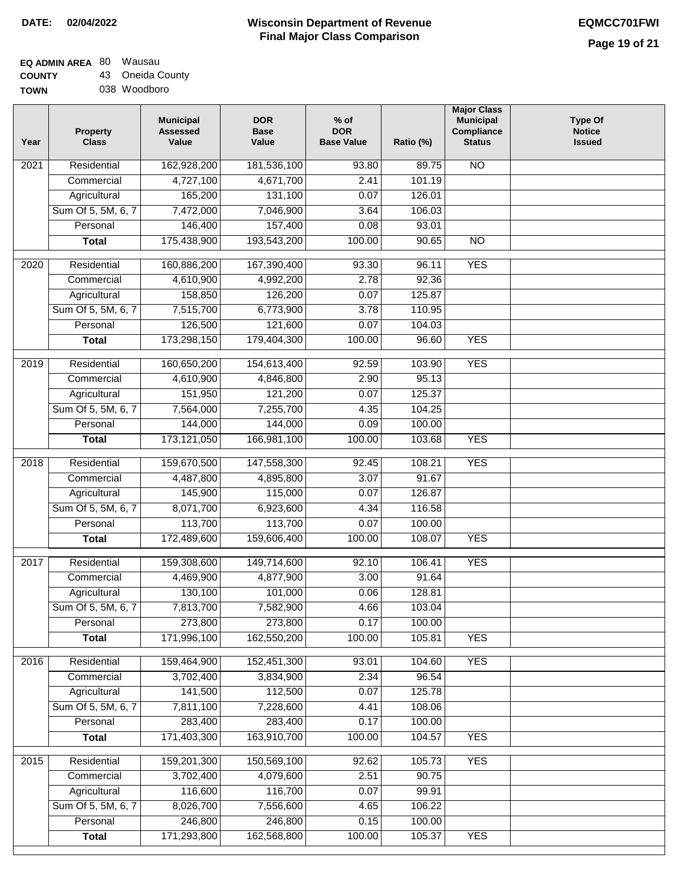$\Box$ 

## **Wisconsin Department of Revenue Final Major Class Comparison DATE: 02/04/2022 EQMCC701FWI**

## **EQ ADMIN AREA** 80 Wausau **COUNTY** 43 Oneida County

**TOWN** 038 Woodboro

| Year | <b>Property</b><br><b>Class</b> | <b>Municipal</b><br><b>Assessed</b><br>Value | <b>DOR</b><br><b>Base</b><br>Value | $%$ of<br><b>DOR</b><br><b>Base Value</b> | Ratio (%) | <b>Major Class</b><br><b>Municipal</b><br>Compliance<br><b>Status</b> | <b>Type Of</b><br><b>Notice</b><br><b>Issued</b> |
|------|---------------------------------|----------------------------------------------|------------------------------------|-------------------------------------------|-----------|-----------------------------------------------------------------------|--------------------------------------------------|
| 2021 | Residential                     | 162,928,200                                  | 181,536,100                        | 93.80                                     | 89.75     | <b>NO</b>                                                             |                                                  |
|      | Commercial                      | 4,727,100                                    | 4,671,700                          | 2.41                                      | 101.19    |                                                                       |                                                  |
|      | Agricultural                    | 165,200                                      | 131,100                            | 0.07                                      | 126.01    |                                                                       |                                                  |
|      | Sum Of 5, 5M, 6, 7              | 7,472,000                                    | 7,046,900                          | 3.64                                      | 106.03    |                                                                       |                                                  |
|      | Personal                        | 146,400                                      | 157,400                            | 0.08                                      | 93.01     |                                                                       |                                                  |
|      | <b>Total</b>                    | 175,438,900                                  | 193,543,200                        | 100.00                                    | 90.65     | $\overline{NO}$                                                       |                                                  |
| 2020 | Residential                     | 160,886,200                                  | 167,390,400                        | 93.30                                     | 96.11     | <b>YES</b>                                                            |                                                  |
|      | Commercial                      | 4,610,900                                    | 4,992,200                          | 2.78                                      | 92.36     |                                                                       |                                                  |
|      | Agricultural                    | 158,850                                      | 126,200                            | 0.07                                      | 125.87    |                                                                       |                                                  |
|      | Sum Of 5, 5M, 6, 7              | 7,515,700                                    | 6,773,900                          | 3.78                                      | 110.95    |                                                                       |                                                  |
|      | Personal                        | 126,500                                      | 121,600                            | 0.07                                      | 104.03    |                                                                       |                                                  |
|      | <b>Total</b>                    | 173,298,150                                  | 179,404,300                        | 100.00                                    | 96.60     | <b>YES</b>                                                            |                                                  |
| 2019 | Residential                     | 160,650,200                                  | 154,613,400                        | 92.59                                     | 103.90    | <b>YES</b>                                                            |                                                  |
|      | Commercial                      | 4,610,900                                    | 4,846,800                          | 2.90                                      | 95.13     |                                                                       |                                                  |
|      | Agricultural                    | 151,950                                      | 121,200                            | 0.07                                      | 125.37    |                                                                       |                                                  |
|      | Sum Of 5, 5M, 6, 7              | 7,564,000                                    | 7,255,700                          | 4.35                                      | 104.25    |                                                                       |                                                  |
|      | Personal                        | 144,000                                      | 144,000                            | 0.09                                      | 100.00    |                                                                       |                                                  |
|      | <b>Total</b>                    | 173,121,050                                  | 166,981,100                        | 100.00                                    | 103.68    | <b>YES</b>                                                            |                                                  |
| 2018 | Residential                     | 159,670,500                                  | 147,558,300                        | 92.45                                     | 108.21    | <b>YES</b>                                                            |                                                  |
|      | Commercial                      | 4,487,800                                    | 4,895,800                          | 3.07                                      | 91.67     |                                                                       |                                                  |
|      | Agricultural                    | 145,900                                      | 115,000                            | 0.07                                      | 126.87    |                                                                       |                                                  |
|      | Sum Of 5, 5M, 6, 7              | 8,071,700                                    | 6,923,600                          | 4.34                                      | 116.58    |                                                                       |                                                  |
|      | Personal                        | 113,700                                      | 113,700                            | 0.07                                      | 100.00    |                                                                       |                                                  |
|      | <b>Total</b>                    | 172,489,600                                  | 159,606,400                        | 100.00                                    | 108.07    | <b>YES</b>                                                            |                                                  |
| 2017 | Residential                     | 159,308,600                                  | 149,714,600                        | 92.10                                     | 106.41    | <b>YES</b>                                                            |                                                  |
|      | Commercial                      | 4,469,900                                    | 4,877,900                          | 3.00                                      | 91.64     |                                                                       |                                                  |
|      | Agricultural                    | 130,100                                      | 101,000                            | 0.06                                      | 128.81    |                                                                       |                                                  |
|      | Sum Of 5, 5M, 6, 7              | 7,813,700                                    | 7,582,900                          | 4.66                                      | 103.04    |                                                                       |                                                  |
|      | Personal                        | 273,800                                      | 273,800                            | 0.17                                      | 100.00    |                                                                       |                                                  |
|      | <b>Total</b>                    | 171,996,100                                  | 162,550,200                        | 100.00                                    | 105.81    | <b>YES</b>                                                            |                                                  |
| 2016 | Residential                     | 159,464,900                                  | 152,451,300                        | 93.01                                     | 104.60    | <b>YES</b>                                                            |                                                  |
|      | Commercial                      | 3,702,400                                    | 3,834,900                          | 2.34                                      | 96.54     |                                                                       |                                                  |
|      | Agricultural                    | 141,500                                      | 112,500                            | 0.07                                      | 125.78    |                                                                       |                                                  |
|      | Sum Of 5, 5M, 6, 7              | 7,811,100                                    | 7,228,600                          | 4.41                                      | 108.06    |                                                                       |                                                  |
|      | Personal                        | 283,400                                      | 283,400                            | 0.17                                      | 100.00    |                                                                       |                                                  |
|      | <b>Total</b>                    | 171,403,300                                  | 163,910,700                        | 100.00                                    | 104.57    | <b>YES</b>                                                            |                                                  |
| 2015 | Residential                     | 159,201,300                                  | 150,569,100                        | 92.62                                     | 105.73    | <b>YES</b>                                                            |                                                  |
|      | Commercial                      | 3,702,400                                    | 4,079,600                          | 2.51                                      | 90.75     |                                                                       |                                                  |
|      | Agricultural                    | 116,600                                      | 116,700                            | 0.07                                      | 99.91     |                                                                       |                                                  |
|      | Sum Of 5, 5M, 6, 7              | 8,026,700                                    | 7,556,600                          | 4.65                                      | 106.22    |                                                                       |                                                  |
|      | Personal                        | 246,800                                      | 246,800                            | 0.15                                      | 100.00    |                                                                       |                                                  |
|      | <b>Total</b>                    | 171,293,800                                  | 162,568,800                        | 100.00                                    | 105.37    | <b>YES</b>                                                            |                                                  |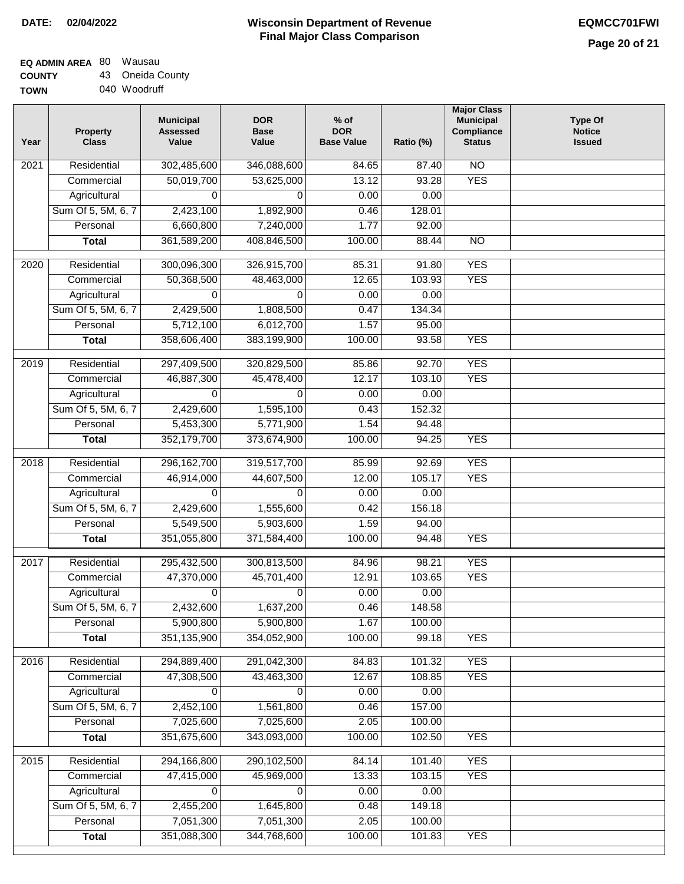## **Wisconsin Department of Revenue Final Major Class Comparison DATE: 02/04/2022 EQMCC701FWI**

٦

# **EQ ADMIN AREA** 80 Wausau

**COUNTY TOWN** 43 Oneida County 040 Woodruff

| Year | <b>Property</b><br><b>Class</b> | <b>Municipal</b><br><b>Assessed</b><br>Value | <b>DOR</b><br><b>Base</b><br>Value | $%$ of<br><b>DOR</b><br><b>Base Value</b> | Ratio (%) | <b>Major Class</b><br><b>Municipal</b><br>Compliance<br><b>Status</b> | <b>Type Of</b><br><b>Notice</b><br><b>Issued</b> |
|------|---------------------------------|----------------------------------------------|------------------------------------|-------------------------------------------|-----------|-----------------------------------------------------------------------|--------------------------------------------------|
| 2021 | Residential                     | 302,485,600                                  | 346,088,600                        | 84.65                                     | 87.40     | N <sub>O</sub>                                                        |                                                  |
|      | Commercial                      | 50,019,700                                   | 53,625,000                         | 13.12                                     | 93.28     | <b>YES</b>                                                            |                                                  |
|      | Agricultural                    | 0                                            | 0                                  | 0.00                                      | 0.00      |                                                                       |                                                  |
|      | Sum Of 5, 5M, 6, 7              | 2,423,100                                    | 1,892,900                          | 0.46                                      | 128.01    |                                                                       |                                                  |
|      | Personal                        | 6,660,800                                    | 7,240,000                          | 1.77                                      | 92.00     |                                                                       |                                                  |
|      | <b>Total</b>                    | 361,589,200                                  | 408,846,500                        | 100.00                                    | 88.44     | $\overline{NO}$                                                       |                                                  |
| 2020 | Residential                     | 300,096,300                                  | 326,915,700                        | 85.31                                     | 91.80     | <b>YES</b>                                                            |                                                  |
|      | Commercial                      | 50,368,500                                   | 48,463,000                         | 12.65                                     | 103.93    | <b>YES</b>                                                            |                                                  |
|      | Agricultural                    | 0                                            | 0                                  | 0.00                                      | 0.00      |                                                                       |                                                  |
|      | Sum Of 5, 5M, 6, 7              | 2,429,500                                    | 1,808,500                          | 0.47                                      | 134.34    |                                                                       |                                                  |
|      | Personal                        | 5,712,100                                    | 6,012,700                          | 1.57                                      | 95.00     |                                                                       |                                                  |
|      | <b>Total</b>                    | 358,606,400                                  | 383,199,900                        | 100.00                                    | 93.58     | <b>YES</b>                                                            |                                                  |
|      |                                 |                                              |                                    |                                           |           |                                                                       |                                                  |
| 2019 | Residential                     | 297,409,500                                  | 320,829,500                        | 85.86                                     | 92.70     | <b>YES</b>                                                            |                                                  |
|      | Commercial                      | 46,887,300                                   | 45,478,400                         | 12.17                                     | 103.10    | <b>YES</b>                                                            |                                                  |
|      | Agricultural                    | 0                                            | 0                                  | 0.00                                      | 0.00      |                                                                       |                                                  |
|      | Sum Of 5, 5M, 6, 7              | 2,429,600                                    | 1,595,100                          | 0.43                                      | 152.32    |                                                                       |                                                  |
|      | Personal                        | 5,453,300                                    | 5,771,900                          | 1.54                                      | 94.48     |                                                                       |                                                  |
|      | <b>Total</b>                    | 352,179,700                                  | 373,674,900                        | 100.00                                    | 94.25     | <b>YES</b>                                                            |                                                  |
| 2018 | Residential                     | 296, 162, 700                                | 319,517,700                        | 85.99                                     | 92.69     | <b>YES</b>                                                            |                                                  |
|      | Commercial                      | 46,914,000                                   | 44,607,500                         | 12.00                                     | 105.17    | <b>YES</b>                                                            |                                                  |
|      | Agricultural                    | $\Omega$                                     | $\Omega$                           | 0.00                                      | 0.00      |                                                                       |                                                  |
|      | Sum Of 5, 5M, 6, 7              | 2,429,600                                    | 1,555,600                          | 0.42                                      | 156.18    |                                                                       |                                                  |
|      | Personal                        | 5,549,500                                    | 5,903,600                          | 1.59                                      | 94.00     |                                                                       |                                                  |
|      | <b>Total</b>                    | 351,055,800                                  | 371,584,400                        | 100.00                                    | 94.48     | <b>YES</b>                                                            |                                                  |
| 2017 | Residential                     | 295,432,500                                  | 300,813,500                        | 84.96                                     | 98.21     | <b>YES</b>                                                            |                                                  |
|      | Commercial                      | 47,370,000                                   | 45,701,400                         | 12.91                                     | 103.65    | <b>YES</b>                                                            |                                                  |
|      | Agricultural                    | 0                                            | 0                                  | 0.00                                      | 0.00      |                                                                       |                                                  |
|      | Sum Of 5, 5M, 6, 7              | 2,432,600                                    | 1,637,200                          | 0.46                                      | 148.58    |                                                                       |                                                  |
|      | Personal                        | 5,900,800                                    | 5,900,800                          | 1.67                                      | 100.00    |                                                                       |                                                  |
|      | <b>Total</b>                    | 351,135,900                                  | 354,052,900                        | 100.00                                    | 99.18     | <b>YES</b>                                                            |                                                  |
| 2016 | Residential                     | 294,889,400                                  | 291,042,300                        | 84.83                                     | 101.32    | <b>YES</b>                                                            |                                                  |
|      | Commercial                      | 47,308,500                                   | 43,463,300                         | 12.67                                     | 108.85    | <b>YES</b>                                                            |                                                  |
|      | Agricultural                    | 0                                            | 0                                  | 0.00                                      | 0.00      |                                                                       |                                                  |
|      | Sum Of 5, 5M, 6, 7              | 2,452,100                                    | 1,561,800                          | 0.46                                      | 157.00    |                                                                       |                                                  |
|      | Personal                        | 7,025,600                                    | 7,025,600                          | 2.05                                      | 100.00    |                                                                       |                                                  |
|      | <b>Total</b>                    | 351,675,600                                  | 343,093,000                        | 100.00                                    | 102.50    | <b>YES</b>                                                            |                                                  |
|      |                                 |                                              |                                    |                                           |           |                                                                       |                                                  |
| 2015 | Residential                     | 294,166,800                                  | 290,102,500                        | 84.14                                     | 101.40    | <b>YES</b>                                                            |                                                  |
|      | Commercial                      | 47,415,000                                   | 45,969,000                         | 13.33                                     | 103.15    | <b>YES</b>                                                            |                                                  |
|      | Agricultural                    | 0                                            | 0                                  | 0.00                                      | 0.00      |                                                                       |                                                  |
|      | Sum Of 5, 5M, 6, 7              | 2,455,200                                    | 1,645,800                          | 0.48                                      | 149.18    |                                                                       |                                                  |
|      | Personal                        | 7,051,300                                    | 7,051,300                          | 2.05                                      | 100.00    |                                                                       |                                                  |
|      | <b>Total</b>                    | 351,088,300                                  | 344,768,600                        | 100.00                                    | 101.83    | <b>YES</b>                                                            |                                                  |